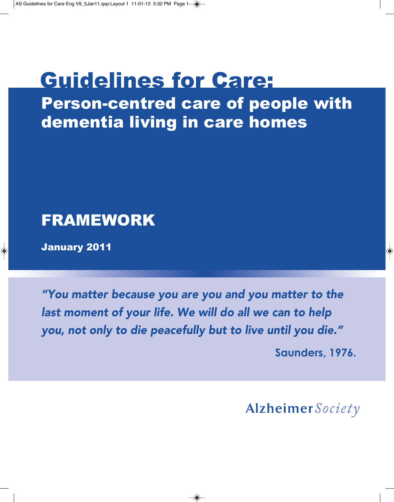# Guidelines for Care:

Person-centred care of people with dementia living in care homes

# FRAMEWORK

January 2011

*"You matter because you are you and you matter to the last moment of your life. We will do all we can to help you, not only to die peacefully but to live until you die."*

**Saunders, 1976.**

Alzheimer Society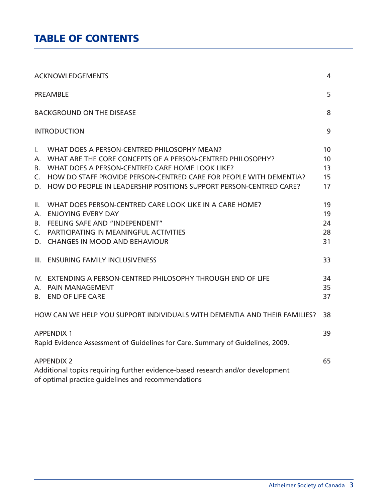# **TABLE OF CONTENTS**

|                              | <b>ACKNOWLEDGEMENTS</b>                                                                                                                                                                                                                                                                                     | $\overline{4}$             |  |
|------------------------------|-------------------------------------------------------------------------------------------------------------------------------------------------------------------------------------------------------------------------------------------------------------------------------------------------------------|----------------------------|--|
|                              | <b>PREAMBLE</b>                                                                                                                                                                                                                                                                                             | 5                          |  |
|                              | <b>BACKGROUND ON THE DISEASE</b>                                                                                                                                                                                                                                                                            | 8                          |  |
|                              | <b>INTRODUCTION</b>                                                                                                                                                                                                                                                                                         | 9                          |  |
| L.<br>А.<br>B.<br>C.         | WHAT DOES A PERSON-CENTRED PHILOSOPHY MEAN?<br>WHAT ARE THE CORE CONCEPTS OF A PERSON-CENTRED PHILOSOPHY?<br>WHAT DOES A PERSON-CENTRED CARE HOME LOOK LIKE?<br>HOW DO STAFF PROVIDE PERSON-CENTRED CARE FOR PEOPLE WITH DEMENTIA?<br>D. HOW DO PEOPLE IN LEADERSHIP POSITIONS SUPPORT PERSON-CENTRED CARE? | 10<br>10<br>13<br>15<br>17 |  |
| II.<br>А.<br><b>B.</b><br>C. | WHAT DOES PERSON-CENTRED CARE LOOK LIKE IN A CARE HOME?<br><b>ENJOYING EVERY DAY</b><br><b>FEELING SAFE AND "INDEPENDENT"</b><br>PARTICIPATING IN MEANINGFUL ACTIVITIES<br>D. CHANGES IN MOOD AND BEHAVIOUR                                                                                                 | 19<br>19<br>24<br>28<br>31 |  |
|                              | III. ENSURING FAMILY INCLUSIVENESS                                                                                                                                                                                                                                                                          | 33                         |  |
|                              | IV. EXTENDING A PERSON-CENTRED PHILOSOPHY THROUGH END OF LIFE<br>A. PAIN MANAGEMENT<br><b>B. END OF LIFE CARE</b>                                                                                                                                                                                           | 34<br>35<br>37             |  |
|                              | HOW CAN WE HELP YOU SUPPORT INDIVIDUALS WITH DEMENTIA AND THEIR FAMILIES?                                                                                                                                                                                                                                   | 38                         |  |
|                              | <b>APPENDIX 1</b><br>Rapid Evidence Assessment of Guidelines for Care. Summary of Guidelines, 2009.                                                                                                                                                                                                         |                            |  |
|                              | <b>APPENDIX 2</b><br>Additional topics requiring further evidence-based research and/or development<br>of optimal practice quidelines and recommendations                                                                                                                                                   |                            |  |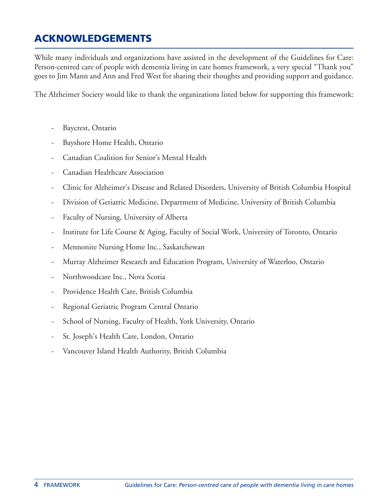# **ACKNOWLEDGEMENTS**

While many individuals and organizations have assisted in the development of the Guidelines for Care: Person-centred care of people with dementia living in care homes framework, a very special "Thank you" goes to Jim Mann and Ann and Fred West for sharing their thoughts and providing support and guidance.

The Alzheimer Society would like to thank the organizations listed below for supporting this framework:

- Baycrest, Ontario
- Bayshore Home Health, Ontario
- Canadian Coalition for Senior's Mental Health
- Canadian Healthcare Association
- Clinic for Alzheimer's Disease and Related Disorders, University of British Columbia Hospital
- Division of Geriatric Medicine, Department of Medicine, University of British Columbia
- Faculty of Nursing, University of Alberta
- Institute for Life Course & Aging, Faculty of Social Work, University of Toronto, Ontario
- Mennonite Nursing Home Inc., Saskatchewan
- Murray Alzheimer Research and Education Program, University of Waterloo, Ontario
- Northwoodcare Inc., Nova Scotia
- Providence Health Care, British Columbia
- Regional Geriatric Program Central Ontario
- School of Nursing, Faculty of Health, York University, Ontario
- St. Joseph's Health Care, London, Ontario
- Vancouver Island Health Authority, British Columbia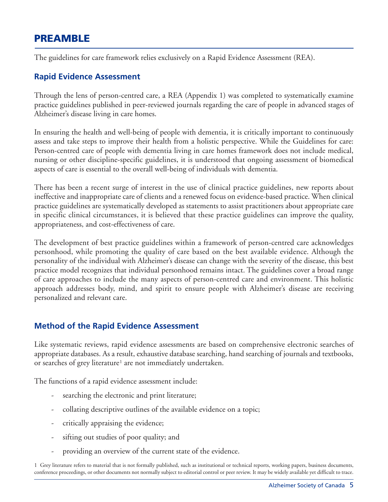# **PREAMBLE**

The guidelines for care framework relies exclusively on a Rapid Evidence Assessment (REA).

#### **Rapid Evidence Assessment**

Through the lens of person-centred care, a REA (Appendix 1) was completed to systematically examine practice guidelines published in peer-reviewed journals regarding the care of people in advanced stages of Alzheimer's disease living in care homes.

In ensuring the health and well-being of people with dementia, it is critically important to continuously assess and take steps to improve their health from a holistic perspective. While the Guidelines for care: Person-centred care of people with dementia living in care homes framework does not include medical, nursing or other discipline-specific guidelines, it is understood that ongoing assessment of biomedical aspects of care is essential to the overall well-being of individuals with dementia.

There has been a recent surge of interest in the use of clinical practice guidelines, new reports about ineffective and inappropriate care of clients and a renewed focus on evidence-based practice. When clinical practice guidelines are systematically developed as statements to assist practitioners about appropriate care in specific clinical circumstances, it is believed that these practice guidelines can improve the quality, appropriateness, and cost-effectiveness of care.

The development of best practice guidelines within a framework of person-centred care acknowledges personhood, while promoting the quality of care based on the best available evidence. Although the personality of the individual with Alzheimer's disease can change with the severity of the disease, this best practice model recognizes that individual personhood remains intact. The guidelines cover a broad range of care approaches to include the many aspects of person-centred care and environment. This holistic approach addresses body, mind, and spirit to ensure people with Alzheimer's disease are receiving personalized and relevant care.

### **Method of the Rapid Evidence Assessment**

Like systematic reviews, rapid evidence assessments are based on comprehensive electronic searches of appropriate databases. As a result, exhaustive database searching, hand searching of journals and textbooks, or searches of grey literature<sup>1</sup> are not immediately undertaken.

The functions of a rapid evidence assessment include:

- searching the electronic and print literature;
- collating descriptive outlines of the available evidence on a topic;
- critically appraising the evidence;
- sifting out studies of poor quality; and
- providing an overview of the current state of the evidence.

1 Grey literature refers to material that is not formally published, such as institutional or technical reports, working papers, business documents, conference proceedings, or other documents not normally subject to editorial control or peer review. It may be widely available yet difficult to trace.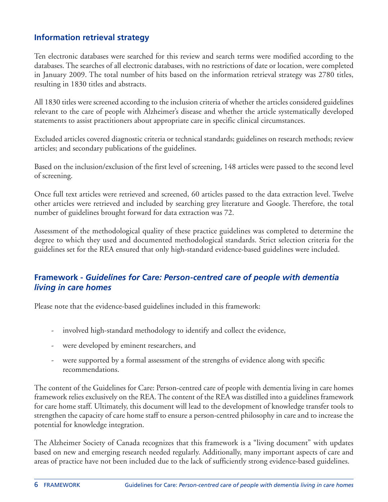### **Information retrieval strategy**

Ten electronic databases were searched for this review and search terms were modified according to the databases. The searches of all electronic databases, with no restrictions of date or location, were completed in January 2009. The total number of hits based on the information retrieval strategy was 2780 titles, resulting in 1830 titles and abstracts.

All 1830 titles were screened according to the inclusion criteria of whether the articles considered guidelines relevant to the care of people with Alzheimer's disease and whether the article systematically developed statements to assist practitioners about appropriate care in specific clinical circumstances.

Excluded articles covered diagnostic criteria or technical standards; guidelines on research methods; review articles; and secondary publications of the guidelines.

Based on the inclusion/exclusion of the first level of screening, 148 articles were passed to the second level of screening.

Once full text articles were retrieved and screened, 60 articles passed to the data extraction level. Twelve other articles were retrieved and included by searching grey literature and Google. Therefore, the total number of guidelines brought forward for data extraction was 72.

Assessment of the methodological quality of these practice guidelines was completed to determine the degree to which they used and documented methodological standards. Strict selection criteria for the guidelines set for the REA ensured that only high-standard evidence-based guidelines were included.

### **Framework -** *Guidelines for Care: Person-centred care of people with dementia living in care homes*

Please note that the evidence-based guidelines included in this framework:

- involved high-standard methodology to identify and collect the evidence,
- were developed by eminent researchers, and
- were supported by a formal assessment of the strengths of evidence along with specific recommendations.

The content of the Guidelines for Care: Person-centred care of people with dementia living in care homes framework relies exclusively on the REA.The content of the REA was distilled into a guidelines framework for care home staff. Ultimately, this document will lead to the development of knowledge transfer tools to strengthen the capacity of care home staff to ensure a person-centred philosophy in care and to increase the potential for knowledge integration.

The Alzheimer Society of Canada recognizes that this framework is a "living document" with updates based on new and emerging research needed regularly. Additionally, many important aspects of care and areas of practice have not been included due to the lack of sufficiently strong evidence-based guidelines.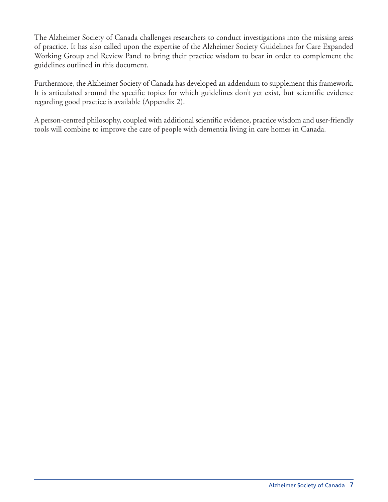The Alzheimer Society of Canada challenges researchers to conduct investigations into the missing areas of practice. It has also called upon the expertise of the Alzheimer Society Guidelines for Care Expanded Working Group and Review Panel to bring their practice wisdom to bear in order to complement the guidelines outlined in this document.

Furthermore, the Alzheimer Society of Canada has developed an addendum to supplement this framework. It is articulated around the specific topics for which guidelines don't yet exist, but scientific evidence regarding good practice is available (Appendix 2).

A person-centred philosophy, coupled with additional scientific evidence, practice wisdom and user-friendly tools will combine to improve the care of people with dementia living in care homes in Canada.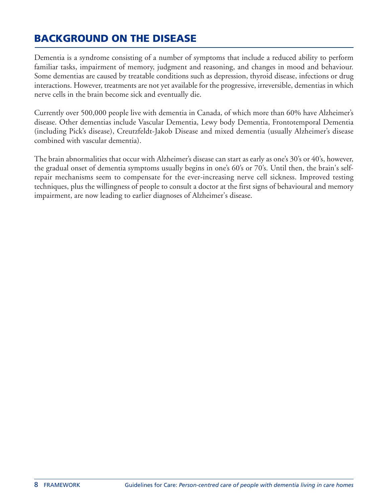# **BACKGROUND ON THE DISEASE**

Dementia is a syndrome consisting of a number of symptoms that include a reduced ability to perform familiar tasks, impairment of memory, judgment and reasoning, and changes in mood and behaviour. Some dementias are caused by treatable conditions such as depression, thyroid disease, infections or drug interactions. However, treatments are not yet available for the progressive, irreversible, dementias in which nerve cells in the brain become sick and eventually die.

Currently over 500,000 people live with dementia in Canada, of which more than 60% have Alzheimer's disease. Other dementias include Vascular Dementia, Lewy body Dementia, Frontotemporal Dementia (including Pick's disease), Creutzfeldt-Jakob Disease and mixed dementia (usually Alzheimer's disease combined with vascular dementia).

The brain abnormalities that occur with Alzheimer's disease can start as early as one's 30's or 40's, however, the gradual onset of dementia symptoms usually begins in one's 60's or 70's. Until then, the brain's selfrepair mechanisms seem to compensate for the ever-increasing nerve cell sickness. Improved testing techniques, plus the willingness of people to consult a doctor at the first signs of behavioural and memory impairment, are now leading to earlier diagnoses of Alzheimer's disease.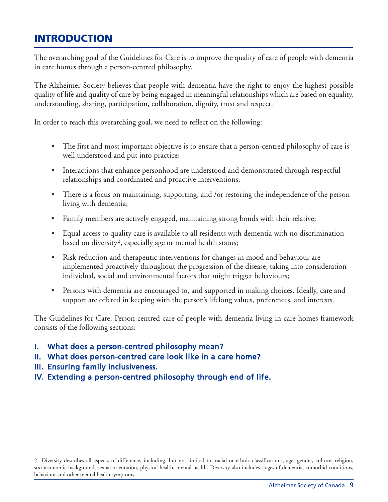# **INTRODUCTION**

The overarching goal of the Guidelines for Care is to improve the quality of care of people with dementia in care homes through a person-centred philosophy.

The Alzheimer Society believes that people with dementia have the right to enjoy the highest possible quality of life and quality of care by being engaged in meaningful relationships which are based on equality, understanding, sharing, participation, collaboration, dignity, trust and respect.

In order to reach this overarching goal, we need to reflect on the following:

- The first and most important objective is to ensure that a person-centred philosophy of care is well understood and put into practice;
- Interactions that enhance personhood are understood and demonstrated through respectful relationships and coordinated and proactive interventions;
- There is a focus on maintaining, supporting, and /or restoring the independence of the person living with dementia;
- Family members are actively engaged, maintaining strong bonds with their relative;
- Equal access to quality care is available to all residents with dementia with no discrimination based on diversity<sup>2</sup>, especially age or mental health status;
- Risk reduction and therapeutic interventions for changes in mood and behaviour are implemented proactively throughout the progression of the disease, taking into consideration individual, social and environmental factors that might trigger behaviours;
- Persons with dementia are encouraged to, and supported in making choices. Ideally, care and support are offered in keeping with the person's lifelong values, preferences, and interests.

The Guidelines for Care: Person-centred care of people with dementia living in care homes framework consists of the following sections:

- I. What does a person-centred philosophy mean?
- II. What does person-centred care look like in a care home?
- III. Ensuring family inclusiveness.
- IV. Extending a person-centred philosophy through end of life.

2 Diversity describes all aspects of difference, including, but not limited to, racial or ethnic classifications, age, gender, culture, religion, socioeconomic background, sexual orientation, physical health, mental health. Diversity also includes stages of dementia, comorbid conditions, behaviour and other mental health symptoms.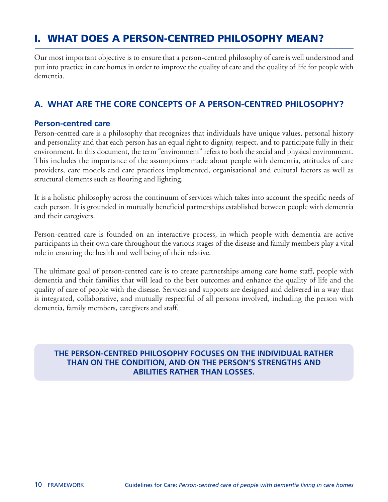# **I. WHAT DOES A PERSON-CENTRED PHILOSOPHY MEAN?**

Our most important objective is to ensure that a person-centred philosophy of care is well understood and put into practice in care homes in order to improve the quality of care and the quality of life for people with dementia.

# **A. WHAT ARE THE CORE CONCEPTS OF A PERSON-CENTRED PHILOSOPHY?**

#### **Person-centred care**

Person-centred care is a philosophy that recognizes that individuals have unique values, personal history and personality and that each person has an equal right to dignity, respect, and to participate fully in their environment. In this document, the term "environment" refers to both the social and physical environment. This includes the importance of the assumptions made about people with dementia, attitudes of care providers, care models and care practices implemented, organisational and cultural factors as well as structural elements such as flooring and lighting.

It is a holistic philosophy across the continuum of services which takes into account the specific needs of each person. It is grounded in mutually beneficial partnerships established between people with dementia and their caregivers.

Person-centred care is founded on an interactive process, in which people with dementia are active participants in their own care throughout the various stages of the disease and family members play a vital role in ensuring the health and well being of their relative.

The ultimate goal of person-centred care is to create partnerships among care home staff, people with dementia and their families that will lead to the best outcomes and enhance the quality of life and the quality of care of people with the disease. Services and supports are designed and delivered in a way that is integrated, collaborative, and mutually respectful of all persons involved, including the person with dementia, family members, caregivers and staff.

#### **THE PERSON-CENTRED PHILOSOPHY FOCUSES ON THE INDIVIDUAL RATHER THAN ON THE CONDITION, AND ON THE PERSON'S STRENGTHS AND ABILITIES RATHER THAN LOSSES.**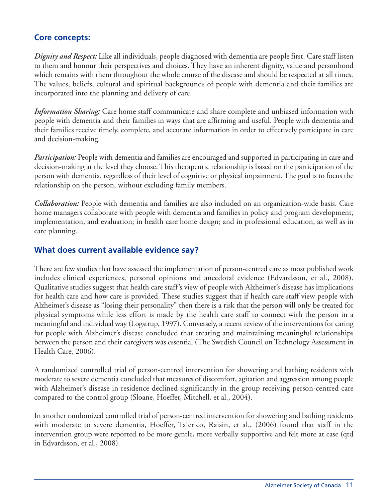### **Core concepts:**

*Dignity and Respect:* Like all individuals, people diagnosed with dementia are people first. Care staff listen to them and honour their perspectives and choices. They have an inherent dignity, value and personhood which remains with them throughout the whole course of the disease and should be respected at all times. The values, beliefs, cultural and spiritual backgrounds of people with dementia and their families are incorporated into the planning and delivery of care.

*Information Sharing:* Care home staff communicate and share complete and unbiased information with people with dementia and their families in ways that are affirming and useful. People with dementia and their families receive timely, complete, and accurate information in order to effectively participate in care and decision-making.

*Participation:* People with dementia and families are encouraged and supported in participating in care and decision-making at the level they choose. This therapeutic relationship is based on the participation of the person with dementia, regardless of their level of cognitive or physical impairment. The goal is to focus the relationship on the person, without excluding family members.

*Collaboration:* People with dementia and families are also included on an organization-wide basis. Care home managers collaborate with people with dementia and families in policy and program development, implementation, and evaluation; in health care home design; and in professional education, as well as in care planning.

#### **What does current available evidence say?**

There are few studies that have assessed the implementation of person-centred care as most published work includes clinical experiences, personal opinions and anecdotal evidence (Edvardsson, et al., 2008). Qualitative studies suggest that health care staff's view of people with Alzheimer's disease has implications for health care and how care is provided. These studies suggest that if health care staff view people with Alzheimer's disease as "losing their personality" then there is a risk that the person will only be treated for physical symptoms while less effort is made by the health care staff to connect with the person in a meaningful and individual way (Logstrup, 1997). Conversely, a recent review of the interventions for caring for people with Alzheimer's disease concluded that creating and maintaining meaningful relationships between the person and their caregivers was essential (The Swedish Council on Technology Assessment in Health Care, 2006).

A randomized controlled trial of person-centred intervention for showering and bathing residents with moderate to severe dementia concluded that measures of discomfort, agitation and aggression among people with Alzheimer's disease in residence declined significantly in the group receiving person-centred care compared to the control group (Sloane, Hoeffer, Mitchell, et al., 2004).

In another randomized controlled trial of person-centred intervention for showering and bathing residents with moderate to severe dementia, Hoeffer, Talerico, Raisin, et al., (2006) found that staff in the intervention group were reported to be more gentle, more verbally supportive and felt more at ease (qtd in Edvardsson, et al., 2008).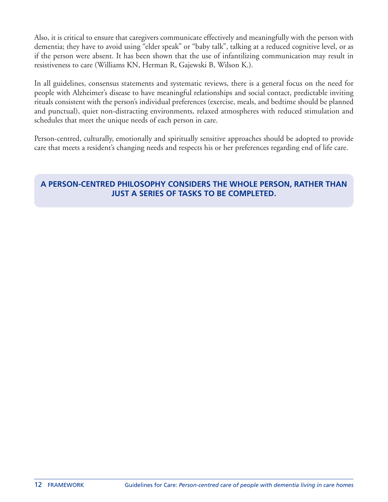Also, it is critical to ensure that caregivers communicate effectively and meaningfully with the person with dementia; they have to avoid using "elder speak" or "baby talk", talking at a reduced cognitive level, or as if the person were absent. It has been shown that the use of infantilizing communication may result in resistiveness to care (Williams KN, Herman R, Gajewski B, Wilson K.).

In all guidelines, consensus statements and systematic reviews, there is a general focus on the need for people with Alzheimer's disease to have meaningful relationships and social contact, predictable inviting rituals consistent with the person's individual preferences (exercise, meals, and bedtime should be planned and punctual), quiet non-distracting environments, relaxed atmospheres with reduced stimulation and schedules that meet the unique needs of each person in care.

Person-centred, culturally, emotionally and spiritually sensitive approaches should be adopted to provide care that meets a resident's changing needs and respects his or her preferences regarding end of life care.

### **A PERSON-CENTRED PHILOSOPHY CONSIDERS THE WHOLE PERSON, RATHER THAN JUST A SERIES OF TASKS TO BE COMPLETED.**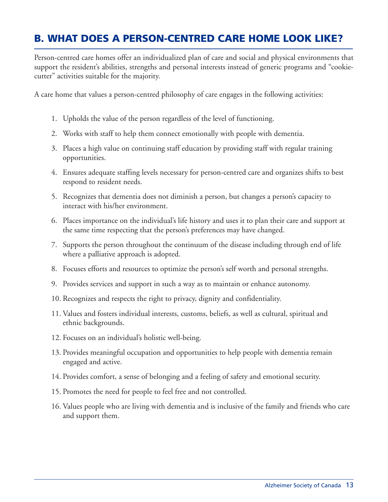# **B. WHAT DOES A PERSON-CENTRED CARE HOME LOOK LIKE?**

Person-centred care homes offer an individualized plan of care and social and physical environments that support the resident's abilities, strengths and personal interests instead of generic programs and "cookiecutter" activities suitable for the majority.

A care home that values a person-centred philosophy of care engages in the following activities:

- 1. Upholds the value of the person regardless of the level of functioning.
- 2. Works with staff to help them connect emotionally with people with dementia.
- 3. Places a high value on continuing staff education by providing staff with regular training opportunities.
- 4. Ensures adequate staffing levels necessary for person-centred care and organizes shifts to best respond to resident needs.
- 5. Recognizes that dementia does not diminish a person, but changes a person's capacity to interact with his/her environment.
- 6. Places importance on the individual's life history and uses it to plan their care and support at the same time respecting that the person's preferences may have changed.
- 7. Supports the person throughout the continuum of the disease including through end of life where a palliative approach is adopted.
- 8. Focuses efforts and resources to optimize the person's self worth and personal strengths.
- 9. Provides services and support in such a way as to maintain or enhance autonomy.
- 10. Recognizes and respects the right to privacy, dignity and confidentiality.
- 11. Values and fosters individual interests, customs, beliefs, as well as cultural, spiritual and ethnic backgrounds.
- 12. Focuses on an individual's holistic well-being.
- 13. Provides meaningful occupation and opportunities to help people with dementia remain engaged and active.
- 14. Provides comfort, a sense of belonging and a feeling of safety and emotional security.
- 15. Promotes the need for people to feel free and not controlled.
- 16. Values people who are living with dementia and is inclusive of the family and friends who care and support them.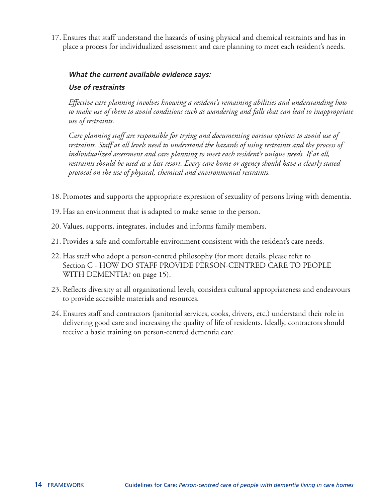17. Ensures that staff understand the hazards of using physical and chemical restraints and has in place a process for individualized assessment and care planning to meet each resident's needs.

#### **What the current available evidence says:**

#### **Use of restraints**

*Effective care planning involves knowing a resident's remaining abilities and understanding how to make use of them to avoid conditions such as wandering and falls that can lead to inappropriate use of restraints.*

*Care planning staff are responsible for trying and documenting various options to avoid use of restraints. Staff at all levels need to understand the hazards of using restraints and the process of individualized assessment and care planning to meet each resident's unique needs. If at all, restraints should be used as a last resort. Every care home or agency should have a clearly stated protocol on the use of physical, chemical and environmental restraints.*

- 18. Promotes and supports the appropriate expression of sexuality of persons living with dementia.
- 19. Has an environment that is adapted to make sense to the person.
- 20. Values, supports, integrates, includes and informs family members.
- 21. Provides a safe and comfortable environment consistent with the resident's care needs.
- 22. Has staff who adopt a person-centred philosophy (for more details, please refer to Section C - HOW DO STAFF PROVIDE PERSON-CENTRED CARE TO PEOPLE WITH DEMENTIA? on page 15).
- 23. Reflects diversity at all organizational levels, considers cultural appropriateness and endeavours to provide accessible materials and resources.
- 24. Ensures staff and contractors (janitorial services, cooks, drivers, etc.) understand their role in delivering good care and increasing the quality of life of residents. Ideally, contractors should receive a basic training on person-centred dementia care.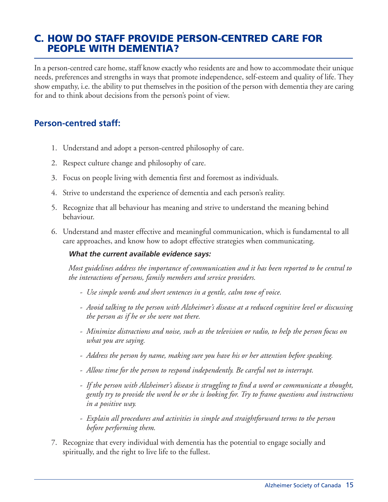# **C. HOW DO STAFF PROVIDE PERSON-CENTRED CARE FOR PEOPLE WITH DEMENTIA?**

In a person-centred care home, staff know exactly who residents are and how to accommodate their unique needs, preferences and strengths in ways that promote independence, self-esteem and quality of life. They show empathy, i.e. the ability to put themselves in the position of the person with dementia they are caring for and to think about decisions from the person's point of view.

### **Person-centred staff:**

- 1. Understand and adopt a person-centred philosophy of care.
- 2. Respect culture change and philosophy of care.
- 3. Focus on people living with dementia first and foremost as individuals.
- 4. Strive to understand the experience of dementia and each person's reality.
- 5. Recognize that all behaviour has meaning and strive to understand the meaning behind behaviour.
- 6. Understand and master effective and meaningful communication, which is fundamental to all care approaches, and know how to adopt effective strategies when communicating.

#### **What the current available evidence says:**

*Most guidelines address the importance of communication and it has been reported to be central to the interactions of persons, family members and service providers.*

- *- Use simple words and short sentences in a gentle, calm tone of voice.*
- *- Avoid talking to the person with Alzheimer's disease at a reduced cognitive level or discussing the person as if he or she were not there.*
- *- Minimize distractions and noise, such as the television or radio, to help the person focus on what you are saying.*
- *- Address the person by name, making sure you have his or her attention before speaking.*
- *- Allow time for the person to respond independently. Be careful not to interrupt.*
- *- If the person with Alzheimer's disease is struggling to find a word or communicate a thought, gently try to provide the word he or she is looking for. Try to frame questions and instructions in a positive way.*
- *- Explain all procedures and activities in simple and straightforward terms to the person before performing them.*
- 7. Recognize that every individual with dementia has the potential to engage socially and spiritually, and the right to live life to the fullest.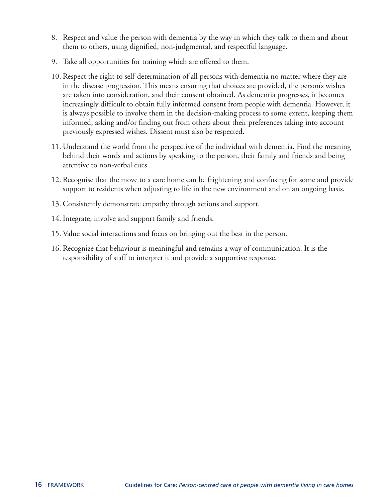- 8. Respect and value the person with dementia by the way in which they talk to them and about them to others, using dignified, non-judgmental, and respectful language.
- 9. Take all opportunities for training which are offered to them.
- 10. Respect the right to self-determination of all persons with dementia no matter where they are in the disease progression. This means ensuring that choices are provided, the person's wishes are taken into consideration, and their consent obtained. As dementia progresses, it becomes increasingly difficult to obtain fully informed consent from people with dementia. However, it is always possible to involve them in the decision-making process to some extent, keeping them informed, asking and/or finding out from others about their preferences taking into account previously expressed wishes. Dissent must also be respected.
- 11. Understand the world from the perspective of the individual with dementia. Find the meaning behind their words and actions by speaking to the person, their family and friends and being attentive to non-verbal cues.
- 12. Recognise that the move to a care home can be frightening and confusing for some and provide support to residents when adjusting to life in the new environment and on an ongoing basis.
- 13. Consistently demonstrate empathy through actions and support.
- 14. Integrate, involve and support family and friends.
- 15. Value social interactions and focus on bringing out the best in the person.
- 16. Recognize that behaviour is meaningful and remains a way of communication. It is the responsibility of staff to interpret it and provide a supportive response.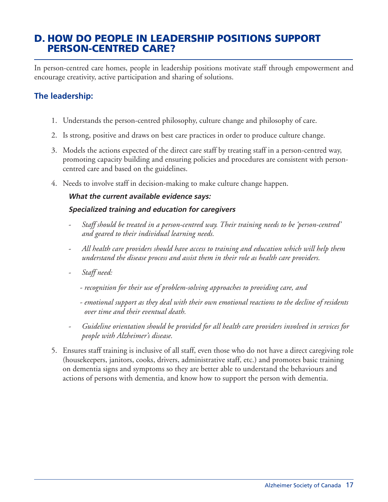# **D. HOW DO PEOPLE IN LEADERSHIP POSITIONS SUPPORT PERSON-CENTRED CARE?**

In person-centred care homes, people in leadership positions motivate staff through empowerment and encourage creativity, active participation and sharing of solutions.

### **The leadership:**

- 1. Understands the person-centred philosophy, culture change and philosophy of care.
- 2. Is strong, positive and draws on best care practices in order to produce culture change.
- 3. Models the actions expected of the direct care staff by treating staff in a person-centred way, promoting capacity building and ensuring policies and procedures are consistent with personcentred care and based on the guidelines.
- 4. Needs to involve staff in decision-making to make culture change happen.

#### **What the current available evidence says:**

#### **Specialized training and education for caregivers**

- *- Staff should be treated in a person-centred way. Their training needs to be 'person-centred' and geared to their individual learning needs.*
- *- All health care providers should have access to training and education which will help them understand the disease process and assist them in their role as health care providers.*
- *- Staff need:*
	- *- recognition for their use of problem-solving approaches to providing care, and*
	- *- emotional support as they deal with their own emotional reactions to the decline of residents over time and their eventual death.*
- *- Guideline orientation should be provided for all health care providers involved in services for people with Alzheimer's disease.*
- 5. Ensures staff training is inclusive of all staff, even those who do not have a direct caregiving role (housekeepers, janitors, cooks, drivers, administrative staff, etc.) and promotes basic training on dementia signs and symptoms so they are better able to understand the behaviours and actions of persons with dementia, and know how to support the person with dementia.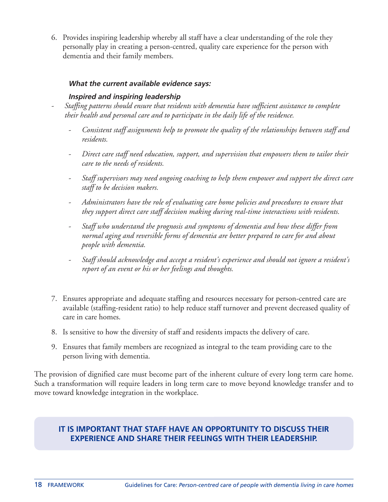6. Provides inspiring leadership whereby all staff have a clear understanding of the role they personally play in creating a person-centred, quality care experience for the person with dementia and their family members.

#### **What the current available evidence says:**

#### **Inspired and inspiring leadership**

- *- Staffing patterns should ensure that residents with dementia have sufficient assistance to complete their health and personal care and to participate in the daily life of the residence.*
	- *- Consistent staff assignments help to promote the quality of the relationships between staff and residents.*
	- *- Direct care staff need education, support, and supervision that empowers them to tailor their care to the needs of residents.*
	- *- Staff supervisors may need ongoing coaching to help them empower and support the direct care staff to be decision makers.*
	- *- Administrators have the role of evaluating care home policies and procedures to ensure that they support direct care staff decision making during real-time interactions with residents.*
	- *- Staff who understand the prognosis and symptoms of dementia and how these differ from normal aging and reversible forms of dementia are better prepared to care for and about people with dementia.*
	- *- Staff should acknowledge and accept a resident's experience and should not ignore a resident's report of an event or his or her feelings and thoughts.*
- 7. Ensures appropriate and adequate staffing and resources necessary for person-centred care are available (staffing-resident ratio) to help reduce staff turnover and prevent decreased quality of care in care homes.
- 8. Is sensitive to how the diversity of staff and residents impacts the delivery of care.
- 9. Ensures that family members are recognized as integral to the team providing care to the person living with dementia.

The provision of dignified care must become part of the inherent culture of every long term care home. Such a transformation will require leaders in long term care to move beyond knowledge transfer and to move toward knowledge integration in the workplace.

#### **IT IS IMPORTANT THAT STAFF HAVE AN OPPORTUNITY TO DISCUSS THEIR EXPERIENCE AND SHARE THEIR FEELINGS WITH THEIR LEADERSHIP.**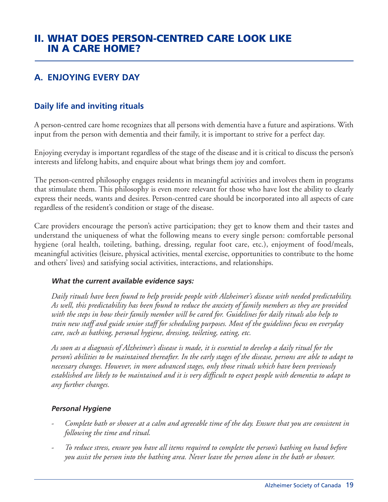# **II. WHAT DOES PERSON-CENTRED CARE LOOK LIKE IN A CARE HOME?**

# **A. ENJOYING EVERY DAY**

### **Daily life and inviting rituals**

A person-centred care home recognizes that all persons with dementia have a future and aspirations. With input from the person with dementia and their family, it is important to strive for a perfect day.

Enjoying everyday is important regardless of the stage of the disease and it is critical to discuss the person's interests and lifelong habits, and enquire about what brings them joy and comfort.

The person-centred philosophy engages residents in meaningful activities and involves them in programs that stimulate them. This philosophy is even more relevant for those who have lost the ability to clearly express their needs, wants and desires. Person-centred care should be incorporated into all aspects of care regardless of the resident's condition or stage of the disease.

Care providers encourage the person's active participation; they get to know them and their tastes and understand the uniqueness of what the following means to every single person: comfortable personal hygiene (oral health, toileting, bathing, dressing, regular foot care, etc.), enjoyment of food/meals, meaningful activities (leisure, physical activities, mental exercise, opportunities to contribute to the home and others' lives) and satisfying social activities, interactions, and relationships.

#### **What the current available evidence says:**

*Daily rituals have been found to help provide people with Alzheimer's disease with needed predictability.* As well, this predictability has been found to reduce the anxiety of family members as they are provided with the steps in how their family member will be cared for. Guidelines for daily rituals also help to *train new staff and guide senior staff for scheduling purposes. Most of the guidelines focus on everyday care, such as bathing, personal hygiene, dressing, toileting, eating, etc.*

As soon as a diagnosis of Alzheimer's disease is made, it is essential to develop a daily ritual for the person's abilities to be maintained thereafter. In the early stages of the disease, persons are able to adapt to *necessary changes. However, in more advanced stages, only those rituals which have been previously* established are likely to be maintained and it is very difficult to expect people with dementia to adapt to *any further changes.*

#### **Personal Hygiene**

- Complete bath or shower at a calm and agreeable time of the day. Ensure that you are consistent in *following the time and ritual.*
- To reduce stress, ensure you have all items required to complete the person's bathing on hand before *you assist the person into the bathing area. Never leave the person alone in the bath or shower.*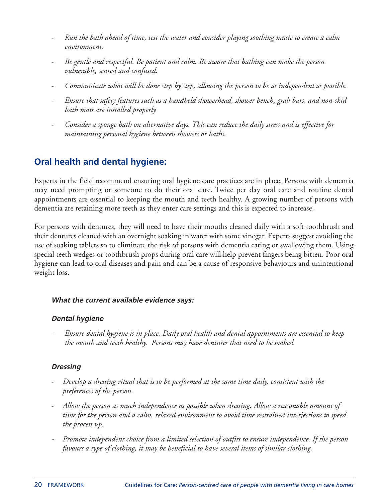- Run the bath ahead of time, test the water and consider playing soothing music to create a calm *environment.*
- *- Be gentle and respectful. Be patient and calm. Be aware that bathing can make the person vulnerable, scared and confused.*
- Communicate what will be done step by step, allowing the person to be as independent as possible.
- *- Ensure that safety features such as a handheld showerhead, shower bench, grab bars, and non-skid bath mats are installed properly.*
- Consider a sponge bath on alternative days. This can reduce the daily stress and is effective for *maintaining personal hygiene between showers or baths.*

# **Oral health and dental hygiene:**

Experts in the field recommend ensuring oral hygiene care practices are in place. Persons with dementia may need prompting or someone to do their oral care. Twice per day oral care and routine dental appointments are essential to keeping the mouth and teeth healthy. A growing number of persons with dementia are retaining more teeth as they enter care settings and this is expected to increase.

For persons with dentures, they will need to have their mouths cleaned daily with a soft toothbrush and their dentures cleaned with an overnight soaking in water with some vinegar. Experts suggest avoiding the use of soaking tablets so to eliminate the risk of persons with dementia eating or swallowing them. Using special teeth wedges or toothbrush props during oral care will help prevent fingers being bitten. Poor oral hygiene can lead to oral diseases and pain and can be a cause of responsive behaviours and unintentional weight loss.

#### **What the current available evidence says:**

### **Dental hygiene**

*- Ensure dental hygiene is in place. Daily oral health and dental appointments are essential to keep the mouth and teeth healthy. Persons may have dentures that need to be soaked.*

### **Dressing**

- *- Develop a dressing ritual that is to be performed at the same time daily, consistent with the preferences of the person.*
- *- Allow the person as much independence as possible when dressing. Allow a reasonable amount of time for the person and a calm, relaxed environment to avoid time restrained interjections to speed the process up.*
- *- Promote independent choice from a limited selection of outfits to ensure independence. If the person favours a type of clothing, it may be beneficial to have several items of similar clothing.*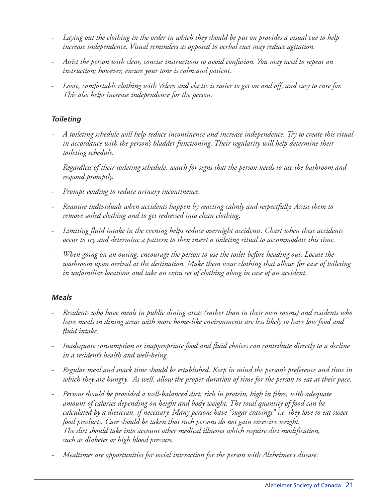- Laying out the clothing in the order in which they should be put on provides a visual cue to help *increase independence. Visual reminders as opposed to verbal cues may reduce agitation.*
- *- Assist the person with clear, concise instructions to avoid confusion. You may need to repeat an instruction; however, ensure your tone is calm and patient.*
- Loose, comfortable clothing with Velcro and elastic is easier to get on and off, and easy to care for. *This also helps increase independence for the person.*

#### **Toileting**

- *- A toileting schedule will help reduce incontinence and increase independence. Try to create this ritual in accordance with the person's bladder functioning. Their regularity will help determine their toileting schedule.*
- Regardless of their toileting schedule, watch for signs that the person needs to use the bathroom and *respond promptly.*
- *- Prompt voiding to reduce urinary incontinence.*
- *- Reassure individuals when accidents happen by reacting calmly and respectfully. Assist them to remove soiled clothing and to get redressed into clean clothing.*
- *- Limiting fluid intake in the evening helps reduce overnight accidents. Chart when these accidents occur to try and determine a pattern to then insert a toileting ritual to accommodate this time.*
- *- When going on an outing, encourage the person to use the toilet before heading out. Locate the washroom upon arrival at the destination. Make them wear clothing that allows for ease of toileting in unfamiliar locations and take an extra set of clothing along in case of an accident.*

#### **Meals**

- Residents who have meals in public dining areas (rather than in their own rooms) and residents who *have meals in dining areas with more home-like environments are less likely to have low food and fluid intake.*
- *- Inadequate consumption or inappropriate food and fluid choices can contribute directly to a decline in a resident's health and well-being.*
- Regular meal and snack time should be established. Keep in mind the person's preference and time in which they are hungry. As well, allow the proper duration of time for the person to eat at their pace.
- *- Persons should be provided a well-balanced diet, rich in protein, high in fibre, with adequate amount of calories depending on height and body weight. The total quantity of food can be calculated by a dietician, if necessary. Many persons have "sugar cravings" i.e. they love to eat sweet food products. Care should be taken that such persons do not gain excessive weight. The diet should take into account other medical illnesses which require diet modification, such as diabetes or high blood pressure.*
- *- Mealtimes are opportunities for social interaction for the person with Alzheimer's disease.*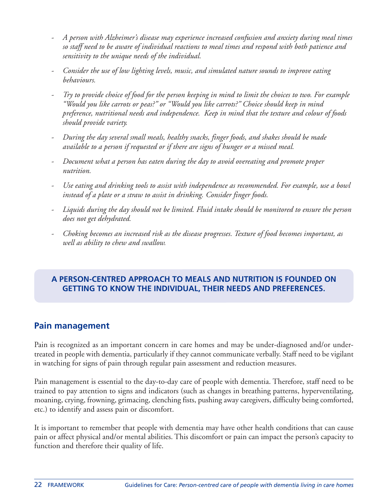- *- A person with Alzheimer's disease may experience increased confusion and anxiety during meal times so staff need to be aware of individual reactions to meal times and respond with both patience and sensitivity to the unique needs of the individual.*
- *- Consider the use of low lighting levels, music, and simulated nature sounds to improve eating behaviours.*
- Try to provide choice of food for the person keeping in mind to limit the choices to two. For example *"Would you like carrots or peas?" or "Would you like carrots?" Choice should keep in mind preference, nutritional needs and independence. Keep in mind that the texture and colour of foods should provide variety.*
- *- During the day several small meals, healthy snacks, finger foods, and shakes should be made available to a person if requested or if there are signs of hunger or a missed meal.*
- *- Document what a person has eaten during the day to avoid overeating and promote proper nutrition.*
- *- Use eating and drinking tools to assist with independence as recommended. For example, use a bowl instead of a plate or a straw to assist in drinking. Consider finger foods.*
- Liquids during the day should not be limited. Fluid intake should be monitored to ensure the person *does not get dehydrated.*
- *- Choking becomes an increased risk as the disease progresses. Texture of food becomes important, as well as ability to chew and swallow.*

### **A PERSON-CENTRED APPROACH TO MEALS AND NUTRITION IS FOUNDED ON GETTING TO KNOW THE INDIVIDUAL, THEIR NEEDS AND PREFERENCES.**

# **Pain management**

Pain is recognized as an important concern in care homes and may be under-diagnosed and/or undertreated in people with dementia, particularly if they cannot communicate verbally. Staff need to be vigilant in watching for signs of pain through regular pain assessment and reduction measures.

Pain management is essential to the day-to-day care of people with dementia. Therefore, staff need to be trained to pay attention to signs and indicators (such as changes in breathing patterns, hyperventilating, moaning, crying, frowning, grimacing, clenching fists, pushing away caregivers, difficulty being comforted, etc.) to identify and assess pain or discomfort.

It is important to remember that people with dementia may have other health conditions that can cause pain or affect physical and/or mental abilities. This discomfort or pain can impact the person's capacity to function and therefore their quality of life.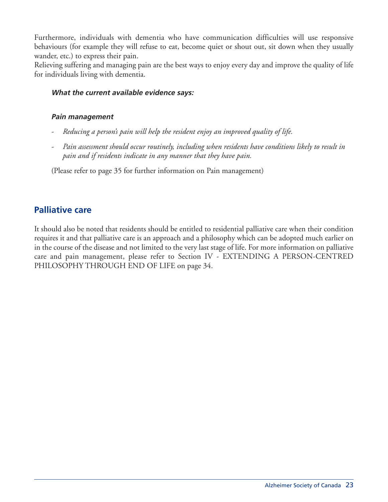Furthermore, individuals with dementia who have communication difficulties will use responsive behaviours (for example they will refuse to eat, become quiet or shout out, sit down when they usually wander, etc.) to express their pain.

Relieving suffering and managing pain are the best ways to enjoy every day and improve the quality of life for individuals living with dementia.

#### **What the current available evidence says:**

#### **Pain management**

- *- Reducing a person's pain will help the resident enjoy an improved quality of life.*
- *- Pain assessment should occur routinely, including when residents have conditions likely to result in pain and if residents indicate in any manner that they have pain.*

(Please refer to page 35 for further information on Pain management)

### **Palliative care**

It should also be noted that residents should be entitled to residential palliative care when their condition requires it and that palliative care is an approach and a philosophy which can be adopted much earlier on in the course of the disease and not limited to the very last stage of life. For more information on palliative care and pain management, please refer to Section IV - EXTENDING A PERSON-CENTRED PHILOSOPHY THROUGH END OF LIFE on page 34.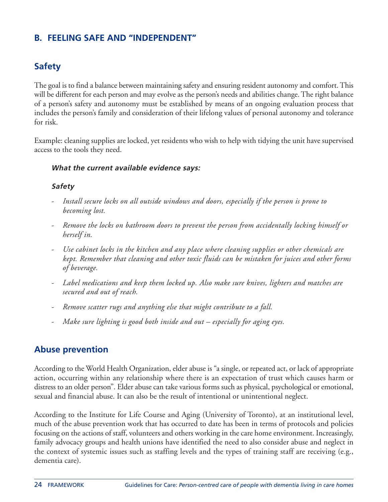# **B. FEELING SAFE AND "INDEPENDENT"**

# **Safety**

The goal is to find a balance between maintaining safety and ensuring resident autonomy and comfort.This will be different for each person and may evolve as the person's needs and abilities change. The right balance of a person's safety and autonomy must be established by means of an ongoing evaluation process that includes the person's family and consideration of their lifelong values of personal autonomy and tolerance for risk.

Example: cleaning supplies are locked, yet residents who wish to help with tidying the unit have supervised access to the tools they need.

#### **What the current available evidence says:**

#### **Safety**

- *- Install secure locks on all outside windows and doors, especially if the person is prone to becoming lost.*
- *- Remove the locks on bathroom doors to prevent the person from accidentally locking himself or herself in.*
- *- Use cabinet locks in the kitchen and any place where cleaning supplies or other chemicals are kept. Remember that cleaning and other toxic fluids can be mistaken for juices and other forms of beverage.*
- *- Label medications and keep them locked up. Also make sure knives, lighters and matches are secured and out of reach.*
- *- Remove scatter rugs and anything else that might contribute to a fall.*
- *- Make sure lighting is good both inside and out – especially for aging eyes.*

### **Abuse prevention**

According to the World Health Organization, elder abuse is "a single, or repeated act, or lack of appropriate action, occurring within any relationship where there is an expectation of trust which causes harm or distress to an older person". Elder abuse can take various forms such as physical, psychological or emotional, sexual and financial abuse. It can also be the result of intentional or unintentional neglect.

According to the Institute for Life Course and Aging (University of Toronto), at an institutional level, much of the abuse prevention work that has occurred to date has been in terms of protocols and policies focusing on the actions of staff, volunteers and others working in the care home environment. Increasingly, family advocacy groups and health unions have identified the need to also consider abuse and neglect in the context of systemic issues such as staffing levels and the types of training staff are receiving (e.g., dementia care).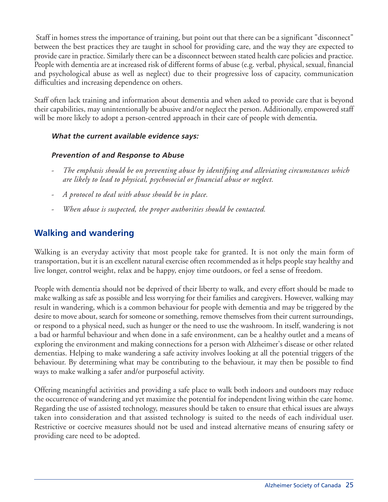Staff in homes stress the importance of training, but point out that there can be a significant "disconnect" between the best practices they are taught in school for providing care, and the way they are expected to provide care in practice. Similarly there can be a disconnect between stated health care policies and practice. People with dementia are at increased risk of different forms of abuse (e.g. verbal, physical, sexual, financial and psychological abuse as well as neglect) due to their progressive loss of capacity, communication difficulties and increasing dependence on others.

Staff often lack training and information about dementia and when asked to provide care that is beyond their capabilities, may unintentionally be abusive and/or neglect the person. Additionally, empowered staff will be more likely to adopt a person-centred approach in their care of people with dementia.

#### **What the current available evidence says:**

#### **Prevention of and Response to Abuse**

- *- The emphasis should be on preventing abuse by identifying and alleviating circumstances which are likely to lead to physical, psychosocial or financial abuse or neglect.*
- *- A protocol to deal with abuse should be in place.*
- *- When abuse is suspected, the proper authorities should be contacted.*

# **Walking and wandering**

Walking is an everyday activity that most people take for granted. It is not only the main form of transportation, but it is an excellent natural exercise often recommended as it helps people stay healthy and live longer, control weight, relax and be happy, enjoy time outdoors, or feel a sense of freedom.

People with dementia should not be deprived of their liberty to walk, and every effort should be made to make walking as safe as possible and less worrying for their families and caregivers. However, walking may result in wandering, which is a common behaviour for people with dementia and may be triggered by the desire to move about, search for someone or something, remove themselves from their current surroundings, or respond to a physical need, such as hunger or the need to use the washroom. In itself, wandering is not a bad or harmful behaviour and when done in a safe environment, can be a healthy outlet and a means of exploring the environment and making connections for a person with Alzheimer's disease or other related dementias. Helping to make wandering a safe activity involves looking at all the potential triggers of the behaviour. By determining what may be contributing to the behaviour, it may then be possible to find ways to make walking a safer and/or purposeful activity.

Offering meaningful activities and providing a safe place to walk both indoors and outdoors may reduce the occurrence of wandering and yet maximize the potential for independent living within the care home. Regarding the use of assisted technology, measures should be taken to ensure that ethical issues are always taken into consideration and that assisted technology is suited to the needs of each individual user. Restrictive or coercive measures should not be used and instead alternative means of ensuring safety or providing care need to be adopted.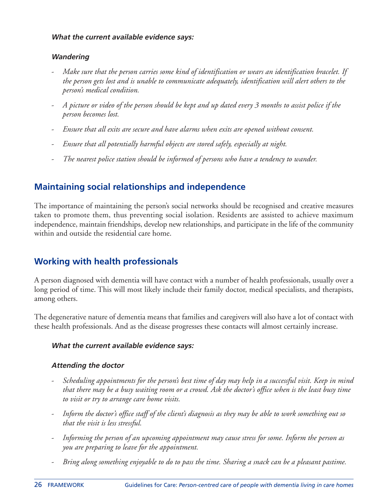#### **What the current available evidence says:**

#### **Wandering**

- *- Make sure that the person carries some kind of identification or wears an identification bracelet. If the person gets lost and is unable to communicate adequately, identification will alert others to the person's medical condition.*
- A picture or video of the person should be kept and up dated every 3 months to assist police if the *person becomes lost.*
- *- Ensure that all exits are secure and have alarms when exits are opened without consent.*
- *- Ensure that all potentially harmful objects are stored safely, especially at night.*
- *- The nearest police station should be informed of persons who have a tendency to wander.*

# **Maintaining social relationships and independence**

The importance of maintaining the person's social networks should be recognised and creative measures taken to promote them, thus preventing social isolation. Residents are assisted to achieve maximum independence, maintain friendships, develop new relationships, and participate in the life of the community within and outside the residential care home.

# **Working with health professionals**

A person diagnosed with dementia will have contact with a number of health professionals, usually over a long period of time. This will most likely include their family doctor, medical specialists, and therapists, among others.

The degenerative nature of dementia means that families and caregivers will also have a lot of contact with these health professionals. And as the disease progresses these contacts will almost certainly increase.

#### **What the current available evidence says:**

#### **Attending the doctor**

- Scheduling appointments for the person's best time of day may help in a successful visit. Keep in mind that there may be a busy waiting room or a crowd. Ask the doctor's office when is the least busy time *to visit or try to arrange care home visits.*
- Inform the doctor's office staff of the client's diagnosis as they may be able to work something out so *that the visit is less stressful.*
- *- Informing the person of an upcoming appointment may cause stress for some. Inform the person as you are preparing to leave for the appointment.*
- Bring along something enjoyable to do to pass the time. Sharing a snack can be a pleasant pastime.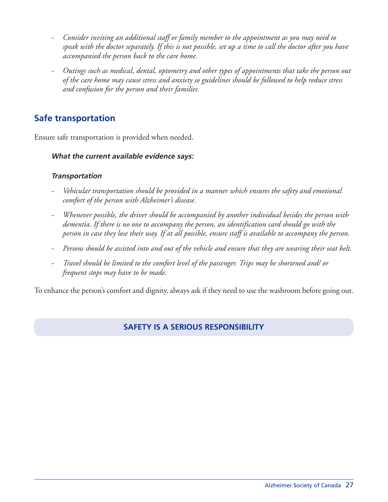- *- Consider inviting an additional staff or family member to the appointment as you may need to* speak with the doctor separately. If this is not possible, set up a time to call the doctor after you have *accompanied the person back to the care home.*
- *- Outings such as medical, dental, optometry and other types of appointments that take the person out* of the care home may cause stress and anxiety so guidelines should be followed to help reduce stress *and confusion for the person and their families.*

### **Safe transportation**

Ensure safe transportation is provided when needed.

#### **What the current available evidence says:**

#### **Transportation**

- *- Vehicular transportation should be provided in a manner which ensures the safety and emotional comfort of the person with Alzheimer's disease.*
- *- Whenever possible, the driver should be accompanied by another individual besides the person with dementia. If there is no one to accompany the person, an identification card should go with the* person in case they lose their way. If at all possible, ensure staff is available to accompany the person.
- Persons should be assisted into and out of the vehicle and ensure that they are wearing their seat belt.
- *- Travel should be limited to the comfort level of the passenger. Trips may be shortened and/ or frequent stops may have to be made.*

To enhance the person's comfort and dignity, always ask if they need to use the washroom before going out.

#### **SAFETY IS A SERIOUS RESPONSIBILITY**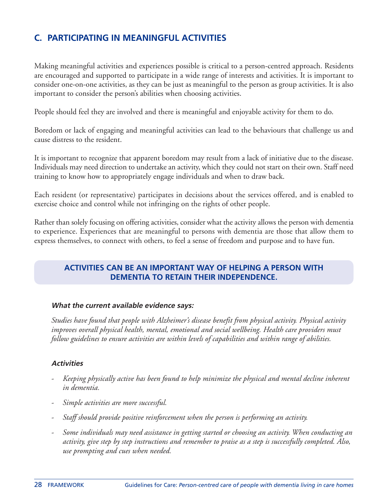# **C. PARTICIPATING IN MEANINGFUL ACTIVITIES**

Making meaningful activities and experiences possible is critical to a person-centred approach. Residents are encouraged and supported to participate in a wide range of interests and activities. It is important to consider one-on-one activities, as they can be just as meaningful to the person as group activities. It is also important to consider the person's abilities when choosing activities.

People should feel they are involved and there is meaningful and enjoyable activity for them to do.

Boredom or lack of engaging and meaningful activities can lead to the behaviours that challenge us and cause distress to the resident.

It is important to recognize that apparent boredom may result from a lack of initiative due to the disease. Individuals may need direction to undertake an activity, which they could not start on their own. Staff need training to know how to appropriately engage individuals and when to draw back.

Each resident (or representative) participates in decisions about the services offered, and is enabled to exercise choice and control while not infringing on the rights of other people.

Rather than solely focusing on offering activities, consider what the activity allows the person with dementia to experience. Experiences that are meaningful to persons with dementia are those that allow them to express themselves, to connect with others, to feel a sense of freedom and purpose and to have fun.

#### **ACTIVITIES CAN BE AN IMPORTANT WAY OF HELPING A PERSON WITH DEMENTIA TO RETAIN THEIR INDEPENDENCE.**

#### **What the current available evidence says:**

*Studies have found that people with Alzheimer's disease benefit from physical activity. Physical activity improves overall physical health, mental, emotional and social wellbeing. Health care providers must follow guidelines to ensure activities are within levels of capabilities and within range of abilities.*

#### **Activities**

- *- Keeping physically active has been found to help minimize the physical and mental decline inherent in dementia.*
- *- Simple activities are more successful.*
- *- Staff should provide positive reinforcement when the person is performing an activity.*
- *- Some individuals may need assistance in getting started or choosing an activity. When conducting an* activity, give step by step instructions and remember to praise as a step is successfully completed. Also, *use prompting and cues when needed.*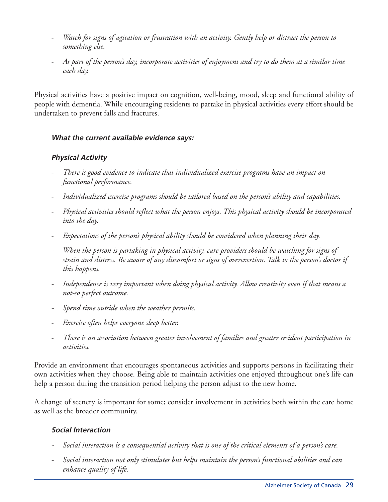- Watch for signs of agitation or frustration with an activity. Gently help or distract the person to *something else.*
- As part of the person's day, incorporate activities of enjoyment and try to do them at a similar time *each day.*

Physical activities have a positive impact on cognition, well-being, mood, sleep and functional ability of people with dementia. While encouraging residents to partake in physical activities every effort should be undertaken to prevent falls and fractures.

#### **What the current available evidence says:**

#### **Physical Activity**

- *- There is good evidence to indicate that individualized exercise programs have an impact on functional performance.*
- *- Individualized exercise programs should be tailored based on the person's ability and capabilities.*
- *- Physical activities should reflect what the person enjoys. This physical activity should be incorporated into the day.*
- *- Expectations of the person's physical ability should be considered when planning their day.*
- *- When the person is partaking in physical activity, care providers should be watching for signs of* strain and distress. Be aware of any discomfort or signs of overexertion. Talk to the person's doctor if *this happens.*
- *- Independence is very important when doing physical activity. Allow creativity even if that means a not-so perfect outcome.*
- *- Spend time outside when the weather permits.*
- *- Exercise often helps everyone sleep better.*
- *- There is an association between greater involvement of families and greater resident participation in activities.*

Provide an environment that encourages spontaneous activities and supports persons in facilitating their own activities when they choose. Being able to maintain activities one enjoyed throughout one's life can help a person during the transition period helping the person adjust to the new home.

A change of scenery is important for some; consider involvement in activities both within the care home as well as the broader community.

#### **Social Interaction**

- Social interaction is a consequential activity that is one of the critical elements of a person's care.
- *- Social interaction not only stimulates but helps maintain the person's functional abilities and can enhance quality of life.*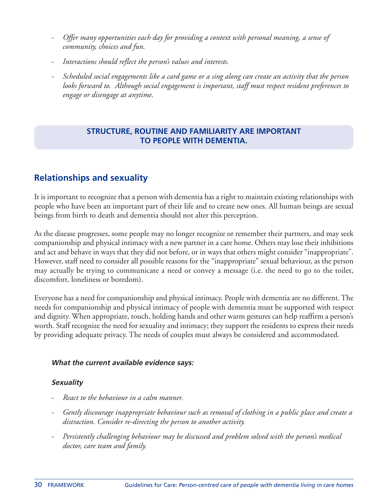- *- Offer many opportunities each day for providing a context with personal meaning, a sense of community, choices and fun.*
- *- Interactions should reflect the person's values and interests.*
- Scheduled social engagements like a card game or a sing along can create an activity that the person *looks forward to. Although social engagement is important, staff must respect resident preferences to engage or disengage at anytime.*

#### **STRUCTURE, ROUTINE AND FAMILIARITY ARE IMPORTANT TO PEOPLE WITH DEMENTIA.**

# **Relationships and sexuality**

It is important to recognize that a person with dementia has a right to maintain existing relationships with people who have been an important part of their life and to create new ones. All human beings are sexual beings from birth to death and dementia should not alter this perception.

As the disease progresses, some people may no longer recognize or remember their partners, and may seek companionship and physical intimacy with a new partner in a care home. Others may lose their inhibitions and act and behave in ways that they did not before, or in ways that others might consider "inappropriate". However, staff need to consider all possible reasons for the "inappropriate" sexual behaviour, as the person may actually be trying to communicate a need or convey a message (i.e. the need to go to the toilet, discomfort, loneliness or boredom).

Everyone has a need for companionship and physical intimacy. People with dementia are no different. The needs for companionship and physical intimacy of people with dementia must be supported with respect and dignity. When appropriate, touch, holding hands and other warm gestures can help reaffirm a person's worth. Staff recognize the need for sexuality and intimacy; they support the residents to express their needs by providing adequate privacy. The needs of couples must always be considered and accommodated.

#### **What the current available evidence says:**

#### **Sexuality**

- *- React to the behaviour in a calm manner.*
- *- Gently discourage inappropriate behaviour such as removal of clothing in a public place and create a distraction. Consider re-directing the person to another activity.*
- *- Persistently challenging behaviour may be discussed and problem solved with the person's medical doctor, care team and family.*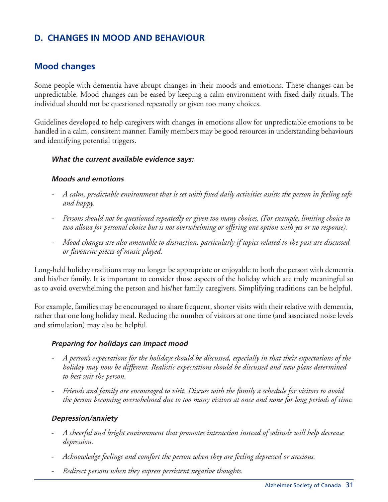# **D. CHANGES IN MOOD AND BEHAVIOUR**

### **Mood changes**

Some people with dementia have abrupt changes in their moods and emotions. These changes can be unpredictable. Mood changes can be eased by keeping a calm environment with fixed daily rituals. The individual should not be questioned repeatedly or given too many choices.

Guidelines developed to help caregivers with changes in emotions allow for unpredictable emotions to be handled in a calm, consistent manner. Family members may be good resources in understanding behaviours and identifying potential triggers.

#### **What the current available evidence says:**

#### **Moods and emotions**

- A calm, predictable environment that is set with fixed daily activities assists the person in feeling safe *and happy.*
- *- Persons should not be questioned repeatedly or given too many choices. (For example, limiting choice to* two allows for personal choice but is not overwhelming or offering one option with yes or no response).
- *- Mood changes are also amenable to distraction, particularly if topics related to the past are discussed or favourite pieces of music played.*

Long-held holiday traditions may no longer be appropriate or enjoyable to both the person with dementia and his/her family. It is important to consider those aspects of the holiday which are truly meaningful so as to avoid overwhelming the person and his/her family caregivers. Simplifying traditions can be helpful.

For example, families may be encouraged to share frequent, shorter visits with their relative with dementia, rather that one long holiday meal. Reducing the number of visitors at one time (and associated noise levels and stimulation) may also be helpful.

#### **Preparing for holidays can impact mood**

- A person's expectations for the holidays should be discussed, especially in that their expectations of the *holiday may now be different. Realistic expectations should be discussed and new plans determined to best suit the person.*
- Friends and family are encouraged to visit. Discuss with the family a schedule for visitors to avoid the person becoming overwhelmed due to too many visitors at once and none for long periods of time.

#### **Depression/anxiety**

- *- A cheerful and bright environment that promotes interaction instead of solitude will help decrease depression.*
- *- Acknowledge feelings and comfort the person when they are feeling depressed or anxious.*
- *- Redirect persons when they express persistent negative thoughts.*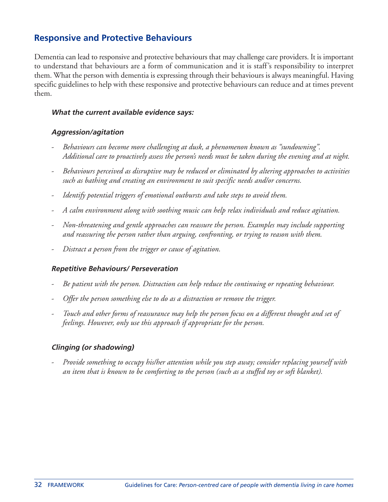### **Responsive and Protective Behaviours**

Dementia can lead to responsive and protective behaviours that may challenge care providers. It is important to understand that behaviours are a form of communication and it is staff's responsibility to interpret them. What the person with dementia is expressing through their behaviours is always meaningful. Having specific guidelines to help with these responsive and protective behaviours can reduce and at times prevent them.

#### **What the current available evidence says:**

#### **Aggression/agitation**

- *- Behaviours can become more challenging at dusk, a phenomenon known as "sundowning". Additional care to proactively assess the person's needs must be taken during the evening and at night.*
- *- Behaviours perceived as disruptive may be reduced or eliminated by altering approaches to activities such as bathing and creating an environment to suit specific needs and/or concerns.*
- *- Identify potential triggers of emotional outbursts and take steps to avoid them.*
- *- A calm environment along with soothing music can help relax individuals and reduce agitation.*
- *- Non-threatening and gentle approaches can reassure the person. Examples may include supporting and reassuring the person rather than arguing, confronting, or trying to reason with them.*
- *- Distract a person from the trigger or cause of agitation.*

#### **Repetitive Behaviours/ Perseveration**

- *- Be patient with the person. Distraction can help reduce the continuing or repeating behaviour.*
- *- Offer the person something else to do as a distraction or remove the trigger.*
- Touch and other forms of reassurance may help the person focus on a different thought and set of *feelings. However, only use this approach if appropriate for the person.*

#### **Clinging (or shadowing)**

*- Provide something to occupy his/her attention while you step away; consider replacing yourself with* an item that is known to be comforting to the person (such as a stuffed toy or soft blanket).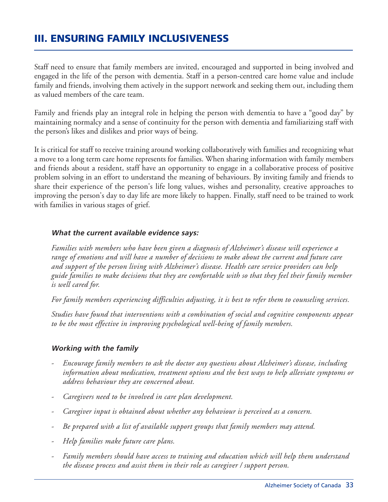# **III. ENSURING FAMILY INCLUSIVENESS**

Staff need to ensure that family members are invited, encouraged and supported in being involved and engaged in the life of the person with dementia. Staff in a person-centred care home value and include family and friends, involving them actively in the support network and seeking them out, including them as valued members of the care team.

Family and friends play an integral role in helping the person with dementia to have a "good day" by maintaining normalcy and a sense of continuity for the person with dementia and familiarizing staff with the person's likes and dislikes and prior ways of being.

It is critical for staff to receive training around working collaboratively with families and recognizing what a move to a long term care home represents for families. When sharing information with family members and friends about a resident, staff have an opportunity to engage in a collaborative process of positive problem solving in an effort to understand the meaning of behaviours. By inviting family and friends to share their experience of the person's life long values, wishes and personality, creative approaches to improving the person's day to day life are more likely to happen. Finally, staff need to be trained to work with families in various stages of grief.

#### **What the current available evidence says:**

*Families with members who have been given a diagnosis of Alzheimer's disease will experience a range of emotions and will have a number of decisions to make about the current and future care and support of the person living with Alzheimer's disease. Health care service providers can help guide families to make decisions that they are comfortable with so that they feel their family member is well cared for.*

*For family members experiencing difficulties adjusting, it is best to refer them to counseling services.*

*Studies have found that interventions with a combination of social and cognitive components appear to be the most effective in improving psychological well-being of family members.*

#### **Working with the family**

- *- Encourage family members to ask the doctor any questions about Alzheimer's disease, including information about medication, treatment options and the best ways to help alleviate symptoms or address behaviour they are concerned about.*
- *- Caregivers need to be involved in care plan development.*
- *- Caregiver input is obtained about whether any behaviour is perceived as a concern.*
- *- Be prepared with a list of available support groups that family members may attend.*
- *- Help families make future care plans.*
- *- Family members should have access to training and education which will help them understand the disease process and assist them in their role as caregiver / support person.*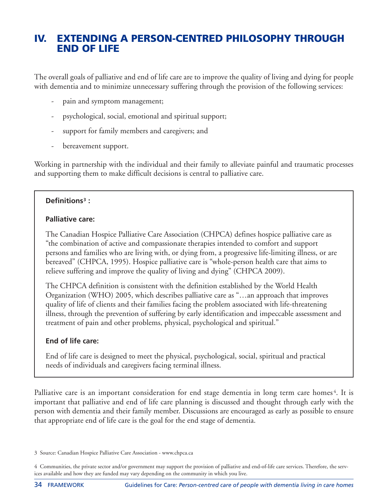# **IV. EXTENDING A PERSON-CENTRED PHILOSOPHY THROUGH END OF LIFE**

The overall goals of palliative and end of life care are to improve the quality of living and dying for people with dementia and to minimize unnecessary suffering through the provision of the following services:

- pain and symptom management;
- psychological, social, emotional and spiritual support;
- support for family members and caregivers; and
- bereavement support.

Working in partnership with the individual and their family to alleviate painful and traumatic processes and supporting them to make difficult decisions is central to palliative care.

#### **Definitions3 :**

#### **Palliative care:**

The Canadian Hospice Palliative Care Association (CHPCA) defines hospice palliative care as "the combination of active and compassionate therapies intended to comfort and support persons and families who are living with, or dying from, a progressive life-limiting illness, or are bereaved" (CHPCA, 1995). Hospice palliative care is "whole-person health care that aims to relieve suffering and improve the quality of living and dying" (CHPCA 2009).

The CHPCA definition is consistent with the definition established by the World Health Organization (WHO) 2005, which describes palliative care as "…an approach that improves quality of life of clients and their families facing the problem associated with life-threatening illness, through the prevention of suffering by early identification and impeccable assessment and treatment of pain and other problems, physical, psychological and spiritual."

#### **End of life care:**

End of life care is designed to meet the physical, psychological, social, spiritual and practical needs of individuals and caregivers facing terminal illness.

Palliative care is an important consideration for end stage dementia in long term care homes<sup>4</sup>. It is important that palliative and end of life care planning is discussed and thought through early with the person with dementia and their family member. Discussions are encouraged as early as possible to ensure that appropriate end of life care is the goal for the end stage of dementia.

<sup>3</sup> Source: Canadian Hospice Palliative Care Association - www.chpca.ca

<sup>4</sup> Communities, the private sector and/or government may support the provision of palliative and end-of-life care services. Therefore, the services available and how they are funded may vary depending on the community in which you live.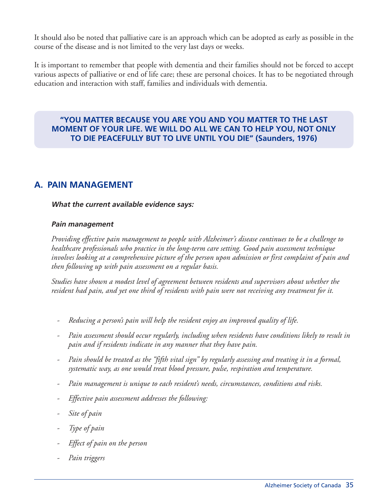It should also be noted that palliative care is an approach which can be adopted as early as possible in the course of the disease and is not limited to the very last days or weeks.

It is important to remember that people with dementia and their families should not be forced to accept various aspects of palliative or end of life care; these are personal choices. It has to be negotiated through education and interaction with staff, families and individuals with dementia.

#### **"YOU MATTER BECAUSE YOU ARE YOU AND YOU MATTER TO THE LAST MOMENT OF YOUR LIFE. WE WILL DO ALL WE CAN TO HELP YOU, NOT ONLY TO DIE PEACEFULLY BUT TO LIVE UNTIL YOU DIE" (Saunders, 1976)**

### **A. PAIN MANAGEMENT**

#### **What the current available evidence says:**

#### **Pain management**

*Providing effective pain management to people with Alzheimer's disease continues to be a challenge to healthcare professionals who practice in the long-term care setting. Good pain assessment technique involves looking at a comprehensive picture of the person upon admission or first complaint of pain and then following up with pain assessment on a regular basis.*

*Studies have shown a modest level of agreement between residents and supervisors about whether the* resident had pain, and yet one third of residents with pain were not receiving any treatment for it.

- *- Reducing a person's pain will help the resident enjoy an improved quality of life.*
- *- Pain assessment should occur regularly, including when residents have conditions likely to result in pain and if residents indicate in any manner that they have pain.*
- Pain should be treated as the "fifth vital sign" by regularly assessing and treating it in a formal, *systematic way, as one would treat blood pressure, pulse, respiration and temperature.*
- *- Pain management is unique to each resident's needs, circumstances, conditions and risks.*
- *- Effective pain assessment addresses the following:*
- *- Site of pain*
- *- Type of pain*
- *- Effect of pain on the person*
- *- Pain triggers*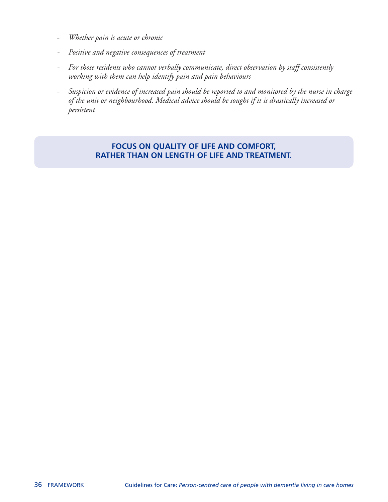- *- Whether pain is acute or chronic*
- *- Positive and negative consequences of treatment*
- *- For those residents who cannot verbally communicate, direct observation by staff consistently working with them can help identify pain and pain behaviours*
- Suspicion or evidence of increased pain should be reported to and monitored by the nurse in charge *of the unit or neighbourhood. Medical advice should be sought if it is drastically increased or persistent*

#### **FOCUS ON QUALITY OF LIFE AND COMFORT, RATHER THAN ON LENGTH OF LIFE AND TREATMENT.**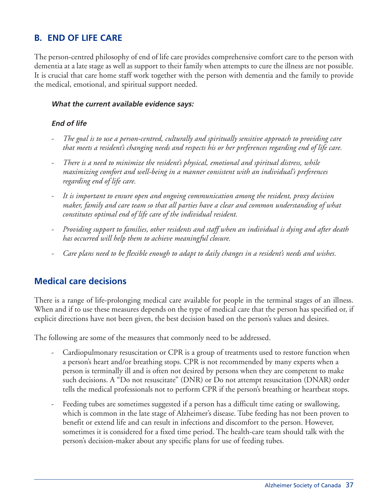# **B. END OF LIFE CARE**

The person-centred philosophy of end of life care provides comprehensive comfort care to the person with dementia at a late stage as well as support to their family when attempts to cure the illness are not possible. It is crucial that care home staff work together with the person with dementia and the family to provide the medical, emotional, and spiritual support needed.

#### **What the current available evidence says:**

#### **End of life**

- *- The goal is to use a person-centred, culturally and spiritually sensitive approach to providing care that meets a resident's changing needs and respects his or her preferences regarding end of life care.*
- *- There is a need to minimize the resident's physical, emotional and spiritual distress, while maximizing comfort and well-being in a manner consistent with an individual's preferences regarding end of life care.*
- *- It is important to ensure open and ongoing communication among the resident, proxy decision maker, family and care team so that all parties have a clear and common understanding of what constitutes optimal end of life care of the individual resident.*
- *- Providing support to families, other residents and staff when an individual is dying and after death has occurred will help them to achieve meaningful closure.*
- Care plans need to be flexible enough to adapt to daily changes in a resident's needs and wishes.

### **Medical care decisions**

There is a range of life-prolonging medical care available for people in the terminal stages of an illness. When and if to use these measures depends on the type of medical care that the person has specified or, if explicit directions have not been given, the best decision based on the person's values and desires.

The following are some of the measures that commonly need to be addressed.

- Cardiopulmonary resuscitation or CPR is a group of treatments used to restore function when a person's heart and/or breathing stops. CPR is not recommended by many experts when a person is terminally ill and is often not desired by persons when they are competent to make such decisions. A "Do not resuscitate" (DNR) or Do not attempt resuscitation (DNAR) order tells the medical professionals not to perform CPR if the person's breathing or heartbeat stops.
- Feeding tubes are sometimes suggested if a person has a difficult time eating or swallowing, which is common in the late stage of Alzheimer's disease. Tube feeding has not been proven to benefit or extend life and can result in infections and discomfort to the person. However, sometimes it is considered for a fixed time period. The health-care team should talk with the person's decision-maker about any specific plans for use of feeding tubes.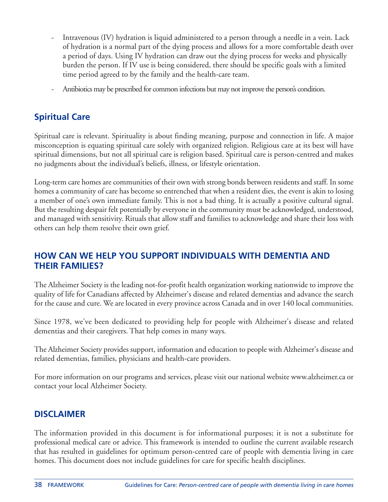- Intravenous (IV) hydration is liquid administered to a person through a needle in a vein. Lack of hydration is a normal part of the dying process and allows for a more comfortable death over a period of days. Using IV hydration can draw out the dying process for weeks and physically burden the person. If IV use is being considered, there should be specific goals with a limited time period agreed to by the family and the health-care team.
- Antibiotics may be prescribed for common infections but may not improve the person's condition.

# **Spiritual Care**

Spiritual care is relevant. Spirituality is about finding meaning, purpose and connection in life. A major misconception is equating spiritual care solely with organized religion. Religious care at its best will have spiritual dimensions, but not all spiritual care is religion based. Spiritual care is person-centred and makes no judgments about the individual's beliefs, illness, or lifestyle orientation.

Long-term care homes are communities of their own with strong bonds between residents and staff. In some homes a community of care has become so entrenched that when a resident dies, the event is akin to losing a member of one's own immediate family. This is not a bad thing. It is actually a positive cultural signal. But the resulting despair felt potentially by everyone in the community must be acknowledged, understood, and managed with sensitivity. Rituals that allow staff and families to acknowledge and share their loss with others can help them resolve their own grief.

### **HOW CAN WE HELP YOU SUPPORT INDIVIDUALS WITH DEMENTIA AND THEIR FAMILIES?**

The Alzheimer Society is the leading not-for-profit health organization working nationwide to improve the quality of life for Canadians affected by Alzheimer's disease and related dementias and advance the search for the cause and cure. We are located in every province across Canada and in over 140 local communities.

Since 1978, we've been dedicated to providing help for people with Alzheimer's disease and related dementias and their caregivers. That help comes in many ways.

The Alzheimer Society provides support, information and education to people with Alzheimer's disease and related dementias, families, physicians and health-care providers.

For more information on our programs and services, please visit our national website www.alzheimer.ca or contact your local Alzheimer Society.

# **DISCLAIMER**

The information provided in this document is for informational purposes; it is not a substitute for professional medical care or advice. This framework is intended to outline the current available research that has resulted in guidelines for optimum person-centred care of people with dementia living in care homes. This document does not include guidelines for care for specific health disciplines.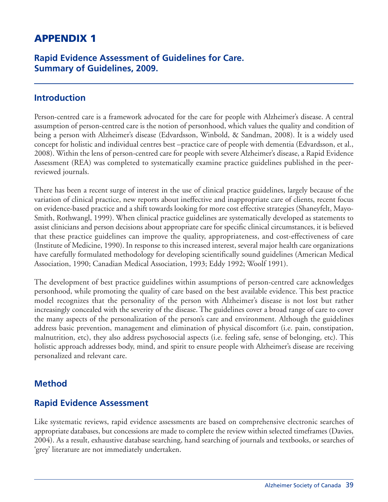# **APPENDIX 1**

### **Rapid Evidence Assessment of Guidelines for Care. Summary of Guidelines, 2009.**

#### **Introduction**

Person-centred care is a framework advocated for the care for people with Alzheimer's disease. A central assumption of person-centred care is the notion of personhood, which values the quality and condition of being a person with Alzheimer's disease (Edvardsson, Winbold, & Sandman, 2008). It is a widely used concept for holistic and individual centres best –practice care of people with dementia (Edvardsson, et al., 2008). Within the lens of person-centred care for people with severe Alzheimer's disease, a Rapid Evidence Assessment (REA) was completed to systematically examine practice guidelines published in the peerreviewed journals.

There has been a recent surge of interest in the use of clinical practice guidelines, largely because of the variation of clinical practice, new reports about ineffective and inappropriate care of clients, recent focus on evidence-based practice and a shift towards looking for more cost effective strategies (Shaneyfelt, Mayo-Smith, Rothwangl, 1999). When clinical practice guidelines are systematically developed as statements to assist clinicians and person decisions about appropriate care for specific clinical circumstances, it is believed that these practice guidelines can improve the quality, appropriateness, and cost-effectiveness of care (Institute of Medicine, 1990). In response to this increased interest, several major health care organizations have carefully formulated methodology for developing scientifically sound guidelines (American Medical Association, 1990; Canadian Medical Association, 1993; Eddy 1992; Woolf 1991).

The development of best practice guidelines within assumptions of person-centred care acknowledges personhood, while promoting the quality of care based on the best available evidence. This best practice model recognizes that the personality of the person with Alzheimer's disease is not lost but rather increasingly concealed with the severity of the disease. The guidelines cover a broad range of care to cover the many aspects of the personalization of the person's care and environment. Although the guidelines address basic prevention, management and elimination of physical discomfort (i.e. pain, constipation, malnutrition, etc), they also address psychosocial aspects (i.e. feeling safe, sense of belonging, etc). This holistic approach addresses body, mind, and spirit to ensure people with Alzheimer's disease are receiving personalized and relevant care.

### **Method**

### **Rapid Evidence Assessment**

Like systematic reviews, rapid evidence assessments are based on comprehensive electronic searches of appropriate databases, but concessions are made to complete the review within selected timeframes (Davies, 2004). As a result, exhaustive database searching, hand searching of journals and textbooks, or searches of 'grey' literature are not immediately undertaken.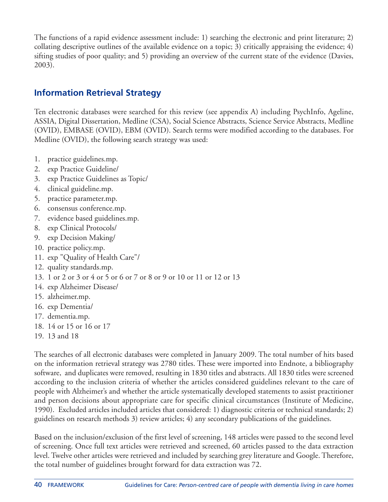The functions of a rapid evidence assessment include: 1) searching the electronic and print literature; 2) collating descriptive outlines of the available evidence on a topic; 3) critically appraising the evidence; 4) sifting studies of poor quality; and 5) providing an overview of the current state of the evidence (Davies, 2003).

### **Information Retrieval Strategy**

Ten electronic databases were searched for this review (see appendix A) including PsychInfo, Ageline, ASSIA, Digital Dissertation, Medline (CSA), Social Science Abstracts, Science Service Abstracts, Medline (OVID), EMBASE (OVID), EBM (OVID). Search terms were modified according to the databases. For Medline (OVID), the following search strategy was used:

- 1. practice guidelines.mp.
- 2. exp Practice Guideline/
- 3. exp Practice Guidelines as Topic/
- 4. clinical guideline.mp.
- 5. practice parameter.mp.
- 6. consensus conference.mp.
- 7. evidence based guidelines.mp.
- 8. exp Clinical Protocols/
- 9. exp Decision Making/
- 10. practice policy.mp.
- 11. exp "Quality of Health Care"/
- 12. quality standards.mp.
- 13. 1 or 2 or 3 or 4 or 5 or 6 or 7 or 8 or 9 or 10 or 11 or 12 or 13
- 14. exp Alzheimer Disease/
- 15. alzheimer.mp.
- 16. exp Dementia/
- 17. dementia.mp.
- 18. 14 or 15 or 16 or 17
- 19. 13 and 18

The searches of all electronic databases were completed in January 2009. The total number of hits based on the information retrieval strategy was 2780 titles. These were imported into Endnote, a bibliography software, and duplicates were removed, resulting in 1830 titles and abstracts. All 1830 titles were screened according to the inclusion criteria of whether the articles considered guidelines relevant to the care of people with Alzheimer's and whether the article systematically developed statements to assist practitioner and person decisions about appropriate care for specific clinical circumstances (Institute of Medicine, 1990). Excluded articles included articles that considered: 1) diagnostic criteria or technical standards; 2) guidelines on research methods 3) review articles; 4) any secondary publications of the guidelines.

Based on the inclusion/exclusion of the first level of screening, 148 articles were passed to the second level of screening. Once full text articles were retrieved and screened, 60 articles passed to the data extraction level. Twelve other articles were retrieved and included by searching grey literature and Google. Therefore, the total number of guidelines brought forward for data extraction was 72.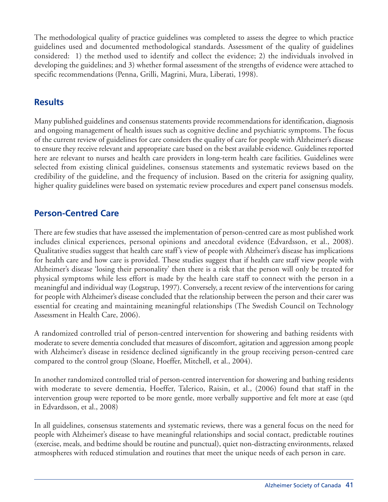The methodological quality of practice guidelines was completed to assess the degree to which practice guidelines used and documented methodological standards. Assessment of the quality of guidelines considered: 1) the method used to identify and collect the evidence; 2) the individuals involved in developing the guidelines; and 3) whether formal assessment of the strengths of evidence were attached to specific recommendations (Penna, Grilli, Magrini, Mura, Liberati, 1998).

# **Results**

Many published guidelines and consensus statements provide recommendations for identification, diagnosis and ongoing management of health issues such as cognitive decline and psychiatric symptoms. The focus of the current review of guidelines for care considers the quality of care for people with Alzheimer's disease to ensure they receive relevant and appropriate care based on the best available evidence. Guidelines reported here are relevant to nurses and health care providers in long-term health care facilities. Guidelines were selected from existing clinical guidelines, consensus statements and systematic reviews based on the credibility of the guideline, and the frequency of inclusion. Based on the criteria for assigning quality, higher quality guidelines were based on systematic review procedures and expert panel consensus models.

### **Person-Centred Care**

There are few studies that have assessed the implementation of person-centred care as most published work includes clinical experiences, personal opinions and anecdotal evidence (Edvardsson, et al., 2008). Qualitative studies suggest that health care staff's view of people with Alzheimer's disease has implications for health care and how care is provided. These studies suggest that if health care staff view people with Alzheimer's disease 'losing their personality' then there is a risk that the person will only be treated for physical symptoms while less effort is made by the health care staff to connect with the person in a meaningful and individual way (Logstrup, 1997). Conversely, a recent review of the interventions for caring for people with Alzheimer's disease concluded that the relationship between the person and their carer was essential for creating and maintaining meaningful relationships (The Swedish Council on Technology Assessment in Health Care, 2006).

A randomized controlled trial of person-centred intervention for showering and bathing residents with moderate to severe dementia concluded that measures of discomfort, agitation and aggression among people with Alzheimer's disease in residence declined significantly in the group receiving person-centred care compared to the control group (Sloane, Hoeffer, Mitchell, et al., 2004).

In another randomized controlled trial of person-centred intervention for showering and bathing residents with moderate to severe dementia, Hoeffer, Talerico, Raisin, et al., (2006) found that staff in the intervention group were reported to be more gentle, more verbally supportive and felt more at ease (qtd in Edvardsson, et al., 2008)

In all guidelines, consensus statements and systematic reviews, there was a general focus on the need for people with Alzheimer's disease to have meaningful relationships and social contact, predictable routines (exercise, meals, and bedtime should be routine and punctual), quiet non-distracting environments, relaxed atmospheres with reduced stimulation and routines that meet the unique needs of each person in care.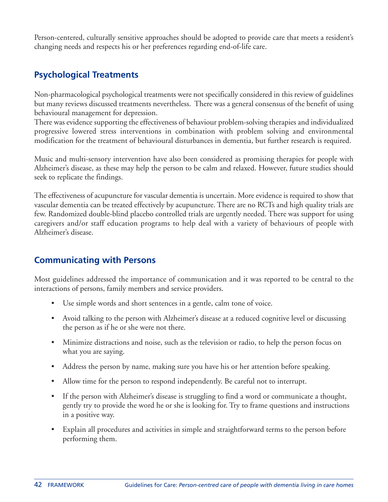Person-centered, culturally sensitive approaches should be adopted to provide care that meets a resident's changing needs and respects his or her preferences regarding end-of-life care.

# **Psychological Treatments**

Non-pharmacological psychological treatments were not specifically considered in this review of guidelines but many reviews discussed treatments nevertheless. There was a general consensus of the benefit of using behavioural management for depression.

There was evidence supporting the effectiveness of behaviour problem-solving therapies and individualized progressive lowered stress interventions in combination with problem solving and environmental modification for the treatment of behavioural disturbances in dementia, but further research is required.

Music and multi-sensory intervention have also been considered as promising therapies for people with Alzheimer's disease, as these may help the person to be calm and relaxed. However, future studies should seek to replicate the findings.

The effectiveness of acupuncture for vascular dementia is uncertain. More evidence is required to show that vascular dementia can be treated effectively by acupuncture. There are no RCTs and high quality trials are few. Randomized double-blind placebo controlled trials are urgently needed. There was support for using caregivers and/or staff education programs to help deal with a variety of behaviours of people with Alzheimer's disease.

# **Communicating with Persons**

Most guidelines addressed the importance of communication and it was reported to be central to the interactions of persons, family members and service providers.

- Use simple words and short sentences in a gentle, calm tone of voice.
- Avoid talking to the person with Alzheimer's disease at a reduced cognitive level or discussing the person as if he or she were not there.
- Minimize distractions and noise, such as the television or radio, to help the person focus on what you are saying.
- Address the person by name, making sure you have his or her attention before speaking.
- Allow time for the person to respond independently. Be careful not to interrupt.
- If the person with Alzheimer's disease is struggling to find a word or communicate a thought, gently try to provide the word he or she is looking for. Try to frame questions and instructions in a positive way.
- Explain all procedures and activities in simple and straightforward terms to the person before performing them.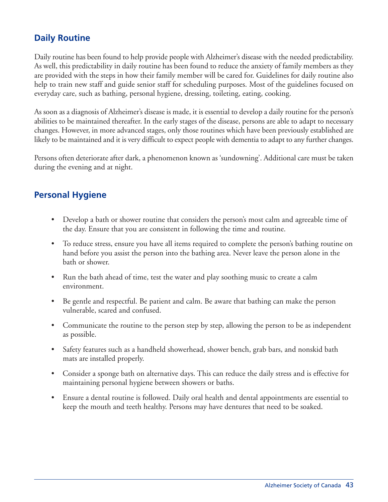# **Daily Routine**

Daily routine has been found to help provide people with Alzheimer's disease with the needed predictability. As well, this predictability in daily routine has been found to reduce the anxiety of family members as they are provided with the steps in how their family member will be cared for. Guidelines for daily routine also help to train new staff and guide senior staff for scheduling purposes. Most of the guidelines focused on everyday care, such as bathing, personal hygiene, dressing, toileting, eating, cooking.

As soon as a diagnosis of Alzheimer's disease is made, it is essential to develop a daily routine for the person's abilities to be maintained thereafter. In the early stages of the disease, persons are able to adapt to necessary changes. However, in more advanced stages, only those routines which have been previously established are likely to be maintained and it is very difficult to expect people with dementia to adapt to any further changes.

Persons often deteriorate after dark, a phenomenon known as 'sundowning'. Additional care must be taken during the evening and at night.

# **Personal Hygiene**

- Develop a bath or shower routine that considers the person's most calm and agreeable time of the day. Ensure that you are consistent in following the time and routine.
- To reduce stress, ensure you have all items required to complete the person's bathing routine on hand before you assist the person into the bathing area. Never leave the person alone in the bath or shower.
- Run the bath ahead of time, test the water and play soothing music to create a calm environment.
- Be gentle and respectful. Be patient and calm. Be aware that bathing can make the person vulnerable, scared and confused.
- Communicate the routine to the person step by step, allowing the person to be as independent as possible.
- Safety features such as a handheld showerhead, shower bench, grab bars, and nonskid bath mats are installed properly.
- Consider a sponge bath on alternative days. This can reduce the daily stress and is effective for maintaining personal hygiene between showers or baths.
- Ensure a dental routine is followed. Daily oral health and dental appointments are essential to keep the mouth and teeth healthy. Persons may have dentures that need to be soaked.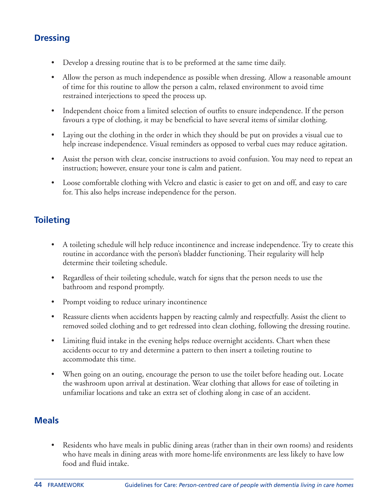# **Dressing**

- Develop a dressing routine that is to be preformed at the same time daily.
- Allow the person as much independence as possible when dressing. Allow a reasonable amount of time for this routine to allow the person a calm, relaxed environment to avoid time restrained interjections to speed the process up.
- Independent choice from a limited selection of outfits to ensure independence. If the person favours a type of clothing, it may be beneficial to have several items of similar clothing.
- Laying out the clothing in the order in which they should be put on provides a visual cue to help increase independence. Visual reminders as opposed to verbal cues may reduce agitation.
- Assist the person with clear, concise instructions to avoid confusion. You may need to repeat an instruction; however, ensure your tone is calm and patient.
- Loose comfortable clothing with Velcro and elastic is easier to get on and off, and easy to care for. This also helps increase independence for the person.

# **Toileting**

- A toileting schedule will help reduce incontinence and increase independence. Try to create this routine in accordance with the person's bladder functioning. Their regularity will help determine their toileting schedule.
- Regardless of their toileting schedule, watch for signs that the person needs to use the bathroom and respond promptly.
- Prompt voiding to reduce urinary incontinence
- Reassure clients when accidents happen by reacting calmly and respectfully. Assist the client to removed soiled clothing and to get redressed into clean clothing, following the dressing routine.
- Limiting fluid intake in the evening helps reduce overnight accidents. Chart when these accidents occur to try and determine a pattern to then insert a toileting routine to accommodate this time.
- When going on an outing, encourage the person to use the toilet before heading out. Locate the washroom upon arrival at destination. Wear clothing that allows for ease of toileting in unfamiliar locations and take an extra set of clothing along in case of an accident.

# **Meals**

• Residents who have meals in public dining areas (rather than in their own rooms) and residents who have meals in dining areas with more home-life environments are less likely to have low food and fluid intake.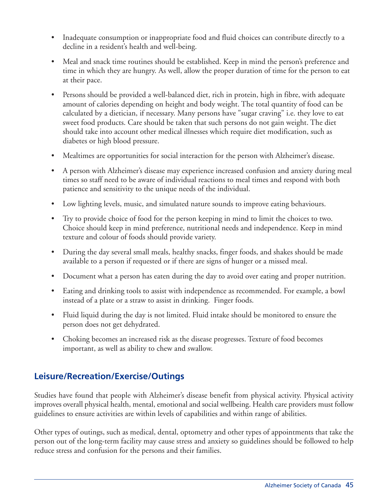- Inadequate consumption or inappropriate food and fluid choices can contribute directly to a decline in a resident's health and well-being.
- Meal and snack time routines should be established. Keep in mind the person's preference and time in which they are hungry. As well, allow the proper duration of time for the person to eat at their pace.
- Persons should be provided a well-balanced diet, rich in protein, high in fibre, with adequate amount of calories depending on height and body weight. The total quantity of food can be calculated by a dietician, if necessary. Many persons have "sugar craving" i.e. they love to eat sweet food products. Care should be taken that such persons do not gain weight. The diet should take into account other medical illnesses which require diet modification, such as diabetes or high blood pressure.
- Mealtimes are opportunities for social interaction for the person with Alzheimer's disease.
- A person with Alzheimer's disease may experience increased confusion and anxiety during meal times so staff need to be aware of individual reactions to meal times and respond with both patience and sensitivity to the unique needs of the individual.
- Low lighting levels, music, and simulated nature sounds to improve eating behaviours.
- Try to provide choice of food for the person keeping in mind to limit the choices to two. Choice should keep in mind preference, nutritional needs and independence. Keep in mind texture and colour of foods should provide variety.
- During the day several small meals, healthy snacks, finger foods, and shakes should be made available to a person if requested or if there are signs of hunger or a missed meal.
- Document what a person has eaten during the day to avoid over eating and proper nutrition.
- Eating and drinking tools to assist with independence as recommended. For example, a bowl instead of a plate or a straw to assist in drinking. Finger foods.
- Fluid liquid during the day is not limited. Fluid intake should be monitored to ensure the person does not get dehydrated.
- Choking becomes an increased risk as the disease progresses. Texture of food becomes important, as well as ability to chew and swallow.

# **Leisure/Recreation/Exercise/Outings**

Studies have found that people with Alzheimer's disease benefit from physical activity. Physical activity improves overall physical health, mental, emotional and social wellbeing. Health care providers must follow guidelines to ensure activities are within levels of capabilities and within range of abilities.

Other types of outings, such as medical, dental, optometry and other types of appointments that take the person out of the long-term facility may cause stress and anxiety so guidelines should be followed to help reduce stress and confusion for the persons and their families.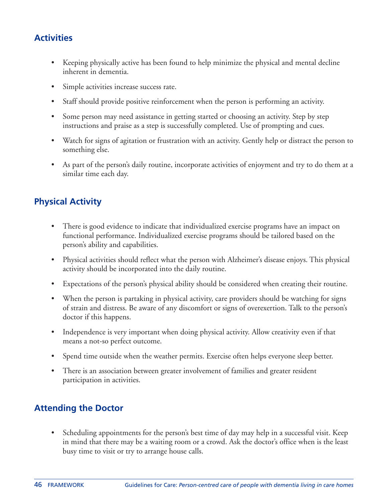# **Activities**

- Keeping physically active has been found to help minimize the physical and mental decline inherent in dementia.
- Simple activities increase success rate.
- Staff should provide positive reinforcement when the person is performing an activity.
- Some person may need assistance in getting started or choosing an activity. Step by step instructions and praise as a step is successfully completed. Use of prompting and cues.
- Watch for signs of agitation or frustration with an activity. Gently help or distract the person to something else.
- As part of the person's daily routine, incorporate activities of enjoyment and try to do them at a similar time each day.

# **Physical Activity**

- There is good evidence to indicate that individualized exercise programs have an impact on functional performance. Individualized exercise programs should be tailored based on the person's ability and capabilities.
- Physical activities should reflect what the person with Alzheimer's disease enjoys. This physical activity should be incorporated into the daily routine.
- Expectations of the person's physical ability should be considered when creating their routine.
- When the person is partaking in physical activity, care providers should be watching for signs of strain and distress. Be aware of any discomfort or signs of overexertion. Talk to the person's doctor if this happens.
- Independence is very important when doing physical activity. Allow creativity even if that means a not-so perfect outcome.
- Spend time outside when the weather permits. Exercise often helps everyone sleep better.
- There is an association between greater involvement of families and greater resident participation in activities.

# **Attending the Doctor**

• Scheduling appointments for the person's best time of day may help in a successful visit. Keep in mind that there may be a waiting room or a crowd. Ask the doctor's office when is the least busy time to visit or try to arrange house calls.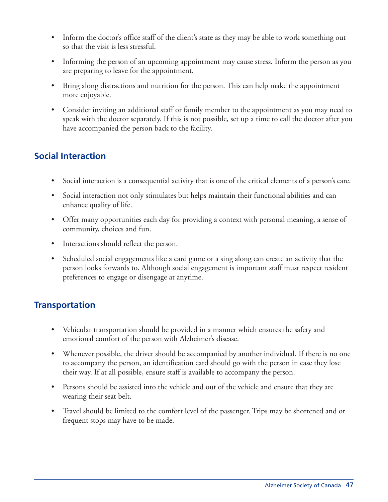- Inform the doctor's office staff of the client's state as they may be able to work something out so that the visit is less stressful.
- Informing the person of an upcoming appointment may cause stress. Inform the person as you are preparing to leave for the appointment.
- Bring along distractions and nutrition for the person. This can help make the appointment more enjoyable.
- Consider inviting an additional staff or family member to the appointment as you may need to speak with the doctor separately. If this is not possible, set up a time to call the doctor after you have accompanied the person back to the facility.

# **Social Interaction**

- Social interaction is a consequential activity that is one of the critical elements of a person's care.
- Social interaction not only stimulates but helps maintain their functional abilities and can enhance quality of life.
- Offer many opportunities each day for providing a context with personal meaning, a sense of community, choices and fun.
- Interactions should reflect the person.
- Scheduled social engagements like a card game or a sing along can create an activity that the person looks forwards to. Although social engagement is important staff must respect resident preferences to engage or disengage at anytime.

# **Transportation**

- Vehicular transportation should be provided in a manner which ensures the safety and emotional comfort of the person with Alzheimer's disease.
- Whenever possible, the driver should be accompanied by another individual. If there is no one to accompany the person, an identification card should go with the person in case they lose their way. If at all possible, ensure staff is available to accompany the person.
- Persons should be assisted into the vehicle and out of the vehicle and ensure that they are wearing their seat belt.
- Travel should be limited to the comfort level of the passenger. Trips may be shortened and or frequent stops may have to be made.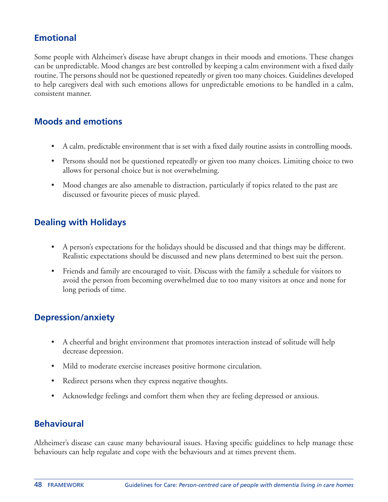# **Emotional**

Some people with Alzheimer's disease have abrupt changes in their moods and emotions. These changes can be unpredictable. Mood changes are best controlled by keeping a calm environment with a fixed daily routine.The persons should not be questioned repeatedly or given too many choices. Guidelines developed to help caregivers deal with such emotions allows for unpredictable emotions to be handled in a calm, consistent manner.

### **Moods and emotions**

- A calm, predictable environment that is set with a fixed daily routine assists in controlling moods.
- Persons should not be questioned repeatedly or given too many choices. Limiting choice to two allows for personal choice but is not overwhelming.
- Mood changes are also amenable to distraction, particularly if topics related to the past are discussed or favourite pieces of music played.

# **Dealing with Holidays**

- A person's expectations for the holidays should be discussed and that things may be different. Realistic expectations should be discussed and new plans determined to best suit the person.
- Friends and family are encouraged to visit. Discuss with the family a schedule for visitors to avoid the person from becoming overwhelmed due to too many visitors at once and none for long periods of time.

# **Depression/anxiety**

- A cheerful and bright environment that promotes interaction instead of solitude will help decrease depression.
- Mild to moderate exercise increases positive hormone circulation.
- Redirect persons when they express negative thoughts.
- Acknowledge feelings and comfort them when they are feeling depressed or anxious.

### **Behavioural**

Alzheimer's disease can cause many behavioural issues. Having specific guidelines to help manage these behaviours can help regulate and cope with the behaviours and at times prevent them.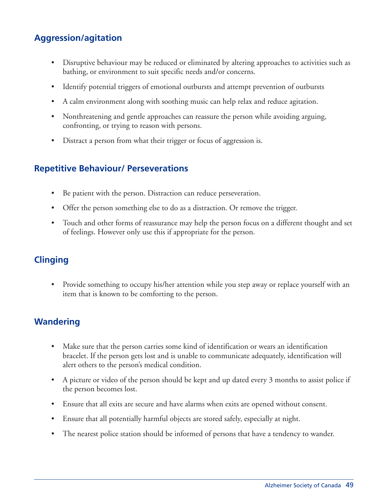# **Aggression/agitation**

- Disruptive behaviour may be reduced or eliminated by altering approaches to activities such as bathing, or environment to suit specific needs and/or concerns.
- Identify potential triggers of emotional outbursts and attempt prevention of outbursts
- A calm environment along with soothing music can help relax and reduce agitation.
- Nonthreatening and gentle approaches can reassure the person while avoiding arguing, confronting, or trying to reason with persons.
- Distract a person from what their trigger or focus of aggression is.

### **Repetitive Behaviour/ Perseverations**

- Be patient with the person. Distraction can reduce perseveration.
- Offer the person something else to do as a distraction. Or remove the trigger.
- Touch and other forms of reassurance may help the person focus on a different thought and set of feelings. However only use this if appropriate for the person.

# **Clinging**

• Provide something to occupy his/her attention while you step away or replace yourself with an item that is known to be comforting to the person.

# **Wandering**

- Make sure that the person carries some kind of identification or wears an identification bracelet. If the person gets lost and is unable to communicate adequately, identification will alert others to the person's medical condition.
- A picture or video of the person should be kept and up dated every 3 months to assist police if the person becomes lost.
- Ensure that all exits are secure and have alarms when exits are opened without consent.
- Ensure that all potentially harmful objects are stored safely, especially at night.
- The nearest police station should be informed of persons that have a tendency to wander.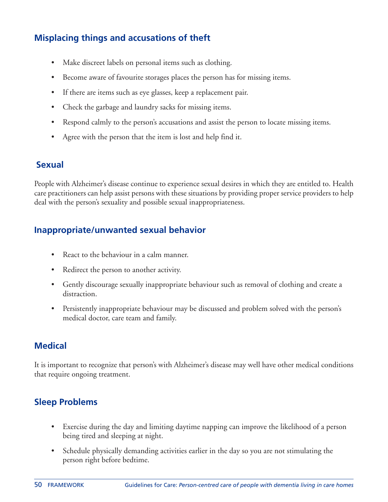# **Misplacing things and accusations of theft**

- Make discreet labels on personal items such as clothing.
- Become aware of favourite storages places the person has for missing items.
- If there are items such as eye glasses, keep a replacement pair.
- Check the garbage and laundry sacks for missing items.
- Respond calmly to the person's accusations and assist the person to locate missing items.
- Agree with the person that the item is lost and help find it.

### **Sexual**

People with Alzheimer's disease continue to experience sexual desires in which they are entitled to. Health care practitioners can help assist persons with these situations by providing proper service providers to help deal with the person's sexuality and possible sexual inappropriateness.

# **Inappropriate/unwanted sexual behavior**

- React to the behaviour in a calm manner.
- Redirect the person to another activity.
- Gently discourage sexually inappropriate behaviour such as removal of clothing and create a distraction.
- Persistently inappropriate behaviour may be discussed and problem solved with the person's medical doctor, care team and family.

# **Medical**

It is important to recognize that person's with Alzheimer's disease may well have other medical conditions that require ongoing treatment.

# **Sleep Problems**

- Exercise during the day and limiting daytime napping can improve the likelihood of a person being tired and sleeping at night.
- Schedule physically demanding activities earlier in the day so you are not stimulating the person right before bedtime.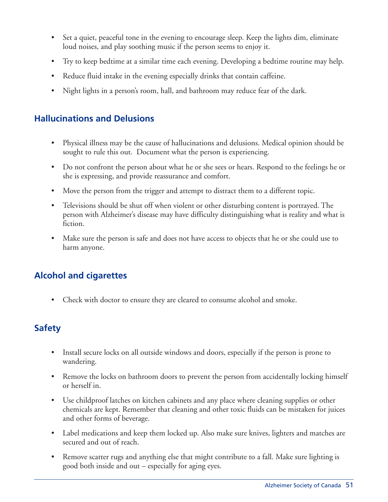- Set a quiet, peaceful tone in the evening to encourage sleep. Keep the lights dim, eliminate loud noises, and play soothing music if the person seems to enjoy it.
- Try to keep bedtime at a similar time each evening. Developing a bedtime routine may help.
- Reduce fluid intake in the evening especially drinks that contain caffeine.
- Night lights in a person's room, hall, and bathroom may reduce fear of the dark.

### **Hallucinations and Delusions**

- Physical illness may be the cause of hallucinations and delusions. Medical opinion should be sought to rule this out. Document what the person is experiencing.
- Do not confront the person about what he or she sees or hears. Respond to the feelings he or she is expressing, and provide reassurance and comfort.
- Move the person from the trigger and attempt to distract them to a different topic.
- Televisions should be shut off when violent or other disturbing content is portrayed. The person with Alzheimer's disease may have difficulty distinguishing what is reality and what is fiction.
- Make sure the person is safe and does not have access to objects that he or she could use to harm anyone.

# **Alcohol and cigarettes**

• Check with doctor to ensure they are cleared to consume alcohol and smoke.

# **Safety**

- Install secure locks on all outside windows and doors, especially if the person is prone to wandering.
- Remove the locks on bathroom doors to prevent the person from accidentally locking himself or herself in.
- Use childproof latches on kitchen cabinets and any place where cleaning supplies or other chemicals are kept. Remember that cleaning and other toxic fluids can be mistaken for juices and other forms of beverage.
- Label medications and keep them locked up. Also make sure knives, lighters and matches are secured and out of reach.
- Remove scatter rugs and anything else that might contribute to a fall. Make sure lighting is good both inside and out – especially for aging eyes.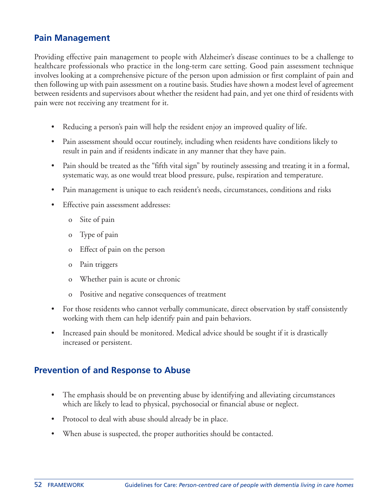### **Pain Management**

Providing effective pain management to people with Alzheimer's disease continues to be a challenge to healthcare professionals who practice in the long-term care setting. Good pain assessment technique involves looking at a comprehensive picture of the person upon admission or first complaint of pain and then following up with pain assessment on a routine basis. Studies have shown a modest level of agreement between residents and supervisors about whether the resident had pain, and yet one third of residents with pain were not receiving any treatment for it.

- Reducing a person's pain will help the resident enjoy an improved quality of life.
- Pain assessment should occur routinely, including when residents have conditions likely to result in pain and if residents indicate in any manner that they have pain.
- Pain should be treated as the "fifth vital sign" by routinely assessing and treating it in a formal, systematic way, as one would treat blood pressure, pulse, respiration and temperature.
- Pain management is unique to each resident's needs, circumstances, conditions and risks
- Effective pain assessment addresses:
	- o Site of pain
	- o Type of pain
	- o Effect of pain on the person
	- o Pain triggers
	- o Whether pain is acute or chronic
	- o Positive and negative consequences of treatment
- For those residents who cannot verbally communicate, direct observation by staff consistently working with them can help identify pain and pain behaviors.
- Increased pain should be monitored. Medical advice should be sought if it is drastically increased or persistent.

# **Prevention of and Response to Abuse**

- The emphasis should be on preventing abuse by identifying and alleviating circumstances which are likely to lead to physical, psychosocial or financial abuse or neglect.
- Protocol to deal with abuse should already be in place.
- When abuse is suspected, the proper authorities should be contacted.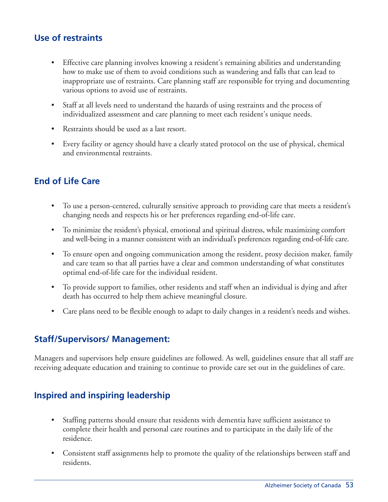# **Use of restraints**

- Effective care planning involves knowing a resident's remaining abilities and understanding how to make use of them to avoid conditions such as wandering and falls that can lead to inappropriate use of restraints. Care planning staff are responsible for trying and documenting various options to avoid use of restraints.
- Staff at all levels need to understand the hazards of using restraints and the process of individualized assessment and care planning to meet each resident's unique needs.
- Restraints should be used as a last resort.
- Every facility or agency should have a clearly stated protocol on the use of physical, chemical and environmental restraints.

# **End of Life Care**

- To use a person-centered, culturally sensitive approach to providing care that meets a resident's changing needs and respects his or her preferences regarding end-of-life care.
- To minimize the resident's physical, emotional and spiritual distress, while maximizing comfort and well-being in a manner consistent with an individual's preferences regarding end-of-life care.
- To ensure open and ongoing communication among the resident, proxy decision maker, family and care team so that all parties have a clear and common understanding of what constitutes optimal end-of-life care for the individual resident.
- To provide support to families, other residents and staff when an individual is dying and after death has occurred to help them achieve meaningful closure.
- Care plans need to be flexible enough to adapt to daily changes in a resident's needs and wishes.

### **Staff/Supervisors/ Management:**

Managers and supervisors help ensure guidelines are followed. As well, guidelines ensure that all staff are receiving adequate education and training to continue to provide care set out in the guidelines of care.

# **Inspired and inspiring leadership**

- Staffing patterns should ensure that residents with dementia have sufficient assistance to complete their health and personal care routines and to participate in the daily life of the residence.
- Consistent staff assignments help to promote the quality of the relationships between staff and residents.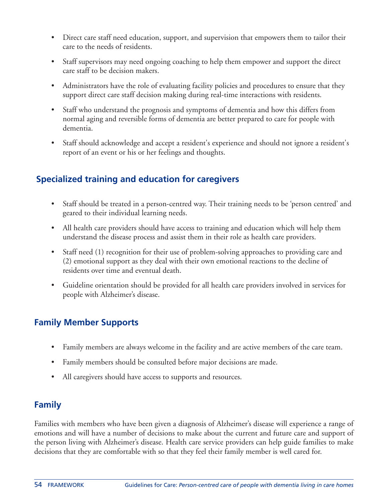- Direct care staff need education, support, and supervision that empowers them to tailor their care to the needs of residents.
- Staff supervisors may need ongoing coaching to help them empower and support the direct care staff to be decision makers.
- Administrators have the role of evaluating facility policies and procedures to ensure that they support direct care staff decision making during real-time interactions with residents.
- Staff who understand the prognosis and symptoms of dementia and how this differs from normal aging and reversible forms of dementia are better prepared to care for people with dementia.
- Staff should acknowledge and accept a resident's experience and should not ignore a resident's report of an event or his or her feelings and thoughts.

# **Specialized training and education for caregivers**

- Staff should be treated in a person-centred way. Their training needs to be 'person centred' and geared to their individual learning needs.
- All health care providers should have access to training and education which will help them understand the disease process and assist them in their role as health care providers.
- Staff need (1) recognition for their use of problem-solving approaches to providing care and (2) emotional support as they deal with their own emotional reactions to the decline of residents over time and eventual death.
- Guideline orientation should be provided for all health care providers involved in services for people with Alzheimer's disease.

### **Family Member Supports**

- Family members are always welcome in the facility and are active members of the care team.
- Family members should be consulted before major decisions are made.
- All caregivers should have access to supports and resources.

# **Family**

Families with members who have been given a diagnosis of Alzheimer's disease will experience a range of emotions and will have a number of decisions to make about the current and future care and support of the person living with Alzheimer's disease. Health care service providers can help guide families to make decisions that they are comfortable with so that they feel their family member is well cared for.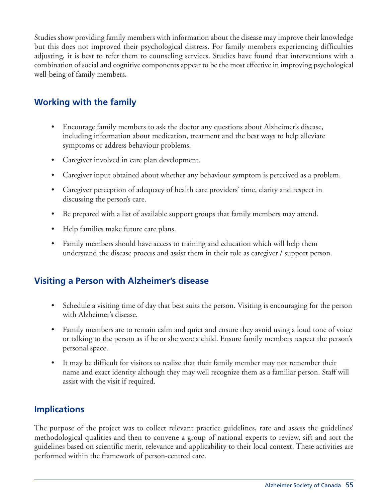Studies show providing family members with information about the disease may improve their knowledge but this does not improved their psychological distress. For family members experiencing difficulties adjusting, it is best to refer them to counseling services. Studies have found that interventions with a combination of social and cognitive components appear to be the most effective in improving psychological well-being of family members.

# **Working with the family**

- Encourage family members to ask the doctor any questions about Alzheimer's disease, including information about medication, treatment and the best ways to help alleviate symptoms or address behaviour problems.
- Caregiver involved in care plan development.
- Caregiver input obtained about whether any behaviour symptom is perceived as a problem.
- Caregiver perception of adequacy of health care providers' time, clarity and respect in discussing the person's care.
- Be prepared with a list of available support groups that family members may attend.
- Help families make future care plans.
- Family members should have access to training and education which will help them understand the disease process and assist them in their role as caregiver / support person.

### **Visiting a Person with Alzheimer's disease**

- Schedule a visiting time of day that best suits the person. Visiting is encouraging for the person with Alzheimer's disease.
- Family members are to remain calm and quiet and ensure they avoid using a loud tone of voice or talking to the person as if he or she were a child. Ensure family members respect the person's personal space.
- It may be difficult for visitors to realize that their family member may not remember their name and exact identity although they may well recognize them as a familiar person. Staff will assist with the visit if required.

# **Implications**

The purpose of the project was to collect relevant practice guidelines, rate and assess the guidelines' methodological qualities and then to convene a group of national experts to review, sift and sort the guidelines based on scientific merit, relevance and applicability to their local context. These activities are performed within the framework of person-centred care.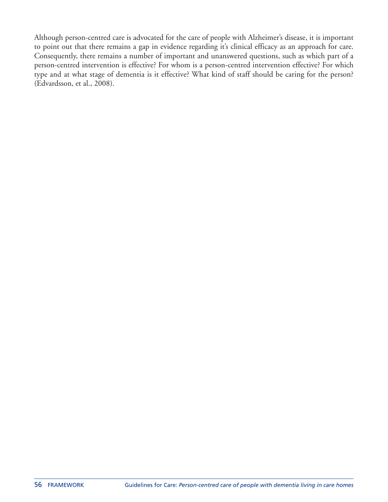Although person-centred care is advocated for the care of people with Alzheimer's disease, it is important to point out that there remains a gap in evidence regarding it's clinical efficacy as an approach for care. Consequently, there remains a number of important and unanswered questions, such as which part of a person-centred intervention is effective? For whom is a person-centred intervention effective? For which type and at what stage of dementia is it effective? What kind of staff should be caring for the person? (Edvardsson, et al., 2008).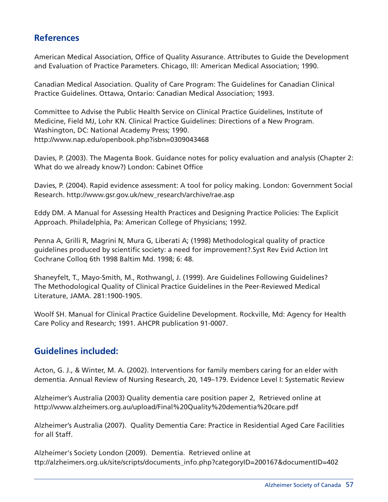# **References**

American Medical Association, Office of Quality Assurance. Attributes to Guide the Development and Evaluation of Practice Parameters. Chicago, Ill: American Medical Association; 1990.

Canadian Medical Association. Quality of Care Program: The Guidelines for Canadian Clinical Practice Guidelines. Ottawa, Ontario: Canadian Medical Association; 1993.

Committee to Advise the Public Health Service on Clinical Practice Guidelines, Institute of Medicine, Field MJ, Lohr KN. Clinical Practice Guidelines: Directions of a New Program. Washington, DC: National Academy Press; 1990. http://www.nap.edu/openbook.php?isbn=0309043468

Davies, P. (2003). The Magenta Book. Guidance notes for policy evaluation and analysis (Chapter 2: What do we already know?) London: Cabinet Office

Davies, P. (2004). Rapid evidence assessment: A tool for policy making. London: Government Social Research. http://www.gsr.gov.uk/new\_research/archive/rae.asp

Eddy DM. A Manual for Assessing Health Practices and Designing Practice Policies: The Explicit Approach. Philadelphia, Pa: American College of Physicians; 1992.

Penna A, Grilli R, Magrini N, Mura G, Liberati A; (1998) Methodological quality of practice guidelines produced by scientific society: a need for improvement?.Syst Rev Evid Action Int Cochrane Colloq 6th 1998 Baltim Md. 1998; 6: 48.

Shaneyfelt, T., Mayo-Smith, M., Rothwangl, J. (1999). Are Guidelines Following Guidelines? The Methodological Quality of Clinical Practice Guidelines in the Peer-Reviewed Medical Literature, JAMA. 281:1900-1905.

Woolf SH. Manual for Clinical Practice Guideline Development. Rockville, Md: Agency for Health Care Policy and Research; 1991. AHCPR publication 91-0007.

# **Guidelines included:**

Acton, G. J., & Winter, M. A. (2002). Interventions for family members caring for an elder with dementia. Annual Review of Nursing Research, 20, 149–179. Evidence Level I: Systematic Review

Alzheimer's Australia (2003) Quality dementia care position paper 2, Retrieved online at http://www.alzheimers.org.au/upload/Final%20Quality%20dementia%20care.pdf

Alzheimer's Australia (2007). Quality Dementia Care: Practice in Residential Aged Care Facilities for all Staff.

Alzheimer's Society London (2009). Dementia. Retrieved online at ttp://alzheimers.org.uk/site/scripts/documents\_info.php?categoryID=200167&documentID=402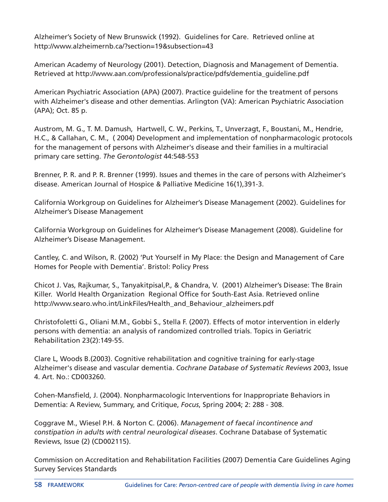Alzheimer's Society of New Brunswick (1992). Guidelines for Care. Retrieved online at http://www.alzheimernb.ca/?section=19&subsection=43

American Academy of Neurology (2001). Detection, Diagnosis and Management of Dementia. Retrieved at http://www.aan.com/professionals/practice/pdfs/dementia\_guideline.pdf

American Psychiatric Association (APA) (2007). Practice guideline for the treatment of persons with Alzheimer's disease and other dementias. Arlington (VA): American Psychiatric Association (APA); Oct. 85 p.

Austrom, M. G., T. M. Damush, Hartwell, C. W., Perkins, T., Unverzagt, F., Boustani, M., Hendrie, H.C., & Callahan, C. M., ( 2004) Development and implementation of nonpharmacologic protocols for the management of persons with Alzheimer's disease and their families in a multiracial primary care setting. *The Gerontologist* 44:548-553

Brenner, P. R. and P. R. Brenner (1999). Issues and themes in the care of persons with Alzheimer's disease. American Journal of Hospice & Palliative Medicine 16(1),391-3.

California Workgroup on Guidelines for Alzheimer's Disease Management (2002). Guidelines for Alzheimer's Disease Management

California Workgroup on Guidelines for Alzheimer's Disease Management (2008). Guideline for Alzheimer's Disease Management.

Cantley, C. and Wilson, R. (2002) 'Put Yourself in My Place: the Design and Management of Care Homes for People with Dementia'. Bristol: Policy Press

Chicot J. Vas, Rajkumar, S., Tanyakitpisal,P., & Chandra, V. (2001) Alzheimer's Disease: The Brain Killer. World Health Organization Regional Office for South-East Asia. Retrieved online http://www.searo.who.int/LinkFiles/Health\_and\_Behaviour\_alzheimers.pdf

Christofoletti G., Oliani M.M., Gobbi S., Stella F. (2007). Effects of motor intervention in elderly persons with dementia: an analysis of randomized controlled trials. Topics in Geriatric Rehabilitation 23(2):149-55.

Clare L, Woods B.(2003). Cognitive rehabilitation and cognitive training for early-stage Alzheimer's disease and vascular dementia. *Cochrane Database of Systematic Reviews* 2003, Issue 4. Art. No.: CD003260.

Cohen-Mansfield, J. (2004). Nonpharmacologic Interventions for Inappropriate Behaviors in Dementia: A Review, Summary, and Critique, *Focus*, Spring 2004; 2: 288 - 308.

Coggrave M., Wiesel P.H. & Norton C. (2006). *Management of faecal incontinence and constipation in adults with central neurological diseases*. Cochrane Database of Systematic Reviews, Issue (2) (CD002115).

Commission on Accreditation and Rehabilitation Facilities (2007) Dementia Care Guidelines Aging Survey Services Standards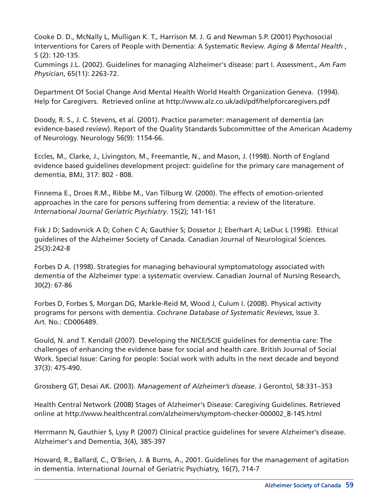Cooke D. D., McNally L, Mulligan K. T., Harrison M. J. G and Newman S.P. (2001) Psychosocial Interventions for Carers of People with Dementia: A Systematic Review. *Aging & Mental Health* , 5 (2): 120-135.

Cummings J.L. (2002). Guidelines for managing Alzheimer's disease: part I. Assessment., *Am Fam Physician*, 65(11): 2263-72.

Department Of Social Change And Mental Health World Health Organization Geneva. (1994). Help for Caregivers. Retrieved online at http://www.alz.co.uk/adi/pdf/helpforcaregivers.pdf

Doody, R. S., J. C. Stevens, et al. (2001). Practice parameter: management of dementia (an evidence-based review). Report of the Quality Standards Subcommittee of the American Academy of Neurology. Neurology 56(9): 1154-66.

Eccles, M., Clarke, J., Livingston, M., Freemantle, N., and Mason, J. (1998). North of England evidence based guidelines development project: guideline for the primary care management of dementia, BMJ, 317: 802 - 808.

Finnema E., Droes R.M., Ribbe M., Van Tilburg W. (2000). The effects of emotion-oriented approaches in the care for persons suffering from dementia: a review of the literature. *International Journal Geriatric Psychiatry*. 15(2); 141-161

Fisk J D; Sadovnick A D; Cohen C A; Gauthier S; Dossetor J; Eberhart A; LeDuc L (1998). Ethical guidelines of the Alzheimer Society of Canada. Canadian Journal of Neurological Sciences. 25(3):242-8

Forbes D A. (1998). Strategies for managing behavioural symptomatology associated with dementia of the Alzheimer type: a systematic overview. Canadian Journal of Nursing Research, 30(2): 67-86

Forbes D, Forbes S, Morgan DG, Markle-Reid M, Wood J, Culum I. (2008). Physical activity programs for persons with dementia. *Cochrane Database of Systematic Reviews*, Issue 3. Art. No.: CD006489.

Gould, N. and T. Kendall (2007). Developing the NICE/SCIE guidelines for dementia care: The challenges of enhancing the evidence base for social and health care. British Journal of Social Work. Special Issue: Caring for people: Social work with adults in the next decade and beyond 37(3): 475-490.

Grossberg GT, Desai AK. (2003). *Management of Alzheimer's disease*. J Gerontol, 58:331–353

Health Central Network (2008) Stages of Alzheimer's Disease: Caregiving Guidelines. Retrieved online at http://www.healthcentral.com/alzheimers/symptom-checker-000002\_8-145.html

Herrmann N, Gauthier S, Lysy P. (2007) Clinical practice guidelines for severe Alzheimer's disease. Alzheimer's and Dementia, 3(4), 385-397

Howard, R., Ballard, C., O'Brien, J. & Burns, A., 2001. Guidelines for the management of agitation in dementia. International Journal of Geriatric Psychiatry, 16(7), 714-7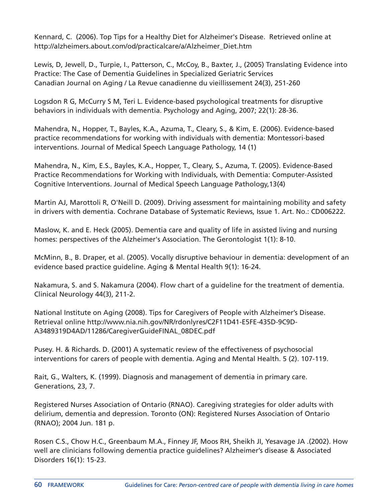Kennard, C. (2006). Top Tips for a Healthy Diet for Alzheimer's Disease. Retrieved online at http://alzheimers.about.com/od/practicalcare/a/Alzheimer\_Diet.htm

Lewis, D, Jewell, D., Turpie, I., Patterson, C., McCoy, B., Baxter, J., (2005) Translating Evidence into Practice: The Case of Dementia Guidelines in Specialized Geriatric Services Canadian Journal on Aging / La Revue canadienne du vieillissement 24(3), 251-260

Logsdon R G, McCurry S M, Teri L. Evidence-based psychological treatments for disruptive behaviors in individuals with dementia. Psychology and Aging, 2007; 22(1): 28-36.

Mahendra, N., Hopper, T., Bayles, K.A., Azuma, T., Cleary, S., & Kim, E. (2006). Evidence-based practice recommendations for working with individuals with dementia: Montessori-based interventions. Journal of Medical Speech Language Pathology, 14 (1)

Mahendra, N., Kim, E.S., Bayles, K.A., Hopper, T., Cleary, S., Azuma, T. (2005). Evidence-Based Practice Recommendations for Working with Individuals, with Dementia: Computer-Assisted Cognitive Interventions. Journal of Medical Speech Language Pathology,13(4)

Martin AJ, Marottoli R, O'Neill D. (2009). Driving assessment for maintaining mobility and safety in drivers with dementia. Cochrane Database of Systematic Reviews, Issue 1. Art. No.: CD006222.

Maslow, K. and E. Heck (2005). Dementia care and quality of life in assisted living and nursing homes: perspectives of the Alzheimer's Association. The Gerontologist 1(1): 8-10.

McMinn, B., B. Draper, et al. (2005). Vocally disruptive behaviour in dementia: development of an evidence based practice guideline. Aging & Mental Health 9(1): 16-24.

Nakamura, S. and S. Nakamura (2004). Flow chart of a guideline for the treatment of dementia. Clinical Neurology 44(3), 211-2.

National Institute on Aging (2008). Tips for Caregivers of People with Alzheimer's Disease. Retrieval online http://www.nia.nih.gov/NR/rdonlyres/C2F11D41-E5FE-435D-9C9D-A3489319D4AD/11286/CaregiverGuideFINAL\_08DEC.pdf

Pusey. H. & Richards. D. (2001) A systematic review of the effectiveness of psychosocial interventions for carers of people with dementia. Aging and Mental Health. 5 (2). 107-119.

Rait, G., Walters, K. (1999). Diagnosis and management of dementia in primary care. Generations, 23, 7.

Registered Nurses Association of Ontario (RNAO). Caregiving strategies for older adults with delirium, dementia and depression. Toronto (ON): Registered Nurses Association of Ontario (RNAO); 2004 Jun. 181 p.

Rosen C.S., Chow H.C., Greenbaum M.A., Finney JF, Moos RH, Sheikh JI, Yesavage JA .(2002). How well are clinicians following dementia practice guidelines? Alzheimer's disease & Associated Disorders 16(1): 15-23.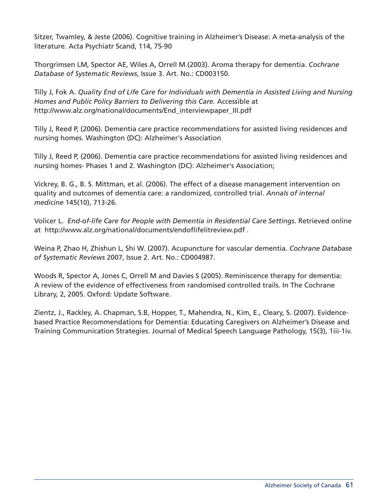Sitzer, Twamley, & Jeste (2006). Cognitive training in Alzheimer's Disease: A meta-analysis of the literature. Acta Psychiatr Scand, 114, 75-90

Thorgrimsen LM, Spector AE, Wiles A, Orrell M.(2003). Aroma therapy for dementia. *Cochrane Database of Systematic Reviews*, Issue 3. Art. No.: CD003150.

Tilly J, Fok A. *Quality End of Life Care for Individuals with Dementia in Assisted Living and Nursing Homes and Public Policy Barriers to Delivering this Care.* Accessible at http://www.alz.org/national/documents/End\_interviewpaper\_III.pdf

Tilly J, Reed P, (2006). Dementia care practice recommendations for assisted living residences and nursing homes. Washington (DC): Alzheimer's Association

Tilly J, Reed P, (2006). Dementia care practice recommendations for assisted living residences and nursing homes- Phases 1 and 2. Washington (DC): Alzheimer's Association;

Vickrey, B. G., B. S. Mittman, et al. (2006). The effect of a disease management intervention on quality and outcomes of dementia care: a randomized, controlled trial. *Annals of internal medicine* 145(10), 713-26.

Volicer L. *End-of-life Care for People with Dementia in Residential Care Settings*. Retrieved online at http://www.alz.org/national/documents/endoflifelitreview.pdf .

Weina P, Zhao H, Zhishun L, Shi W. (2007). Acupuncture for vascular dementia. *Cochrane Database of Systematic Reviews* 2007, Issue 2. Art. No.: CD004987.

Woods R, Spector A, Jones C, Orrell M and Davies S (2005). Reminiscence therapy for dementia: A review of the evidence of effectiveness from randomised controlled trails. In The Cochrane Library, 2, 2005. Oxford: Update Software.

Zientz, J., Rackley, A. Chapman, S.B, Hopper, T., Mahendra, N., Kim, E., Cleary, S. (2007). Evidencebased Practice Recommendations for Dementia: Educating Caregivers on Alzheimer's Disease and Training Communication Strategies. Journal of Medical Speech Language Pathology, 15(3), 1iii-1iv.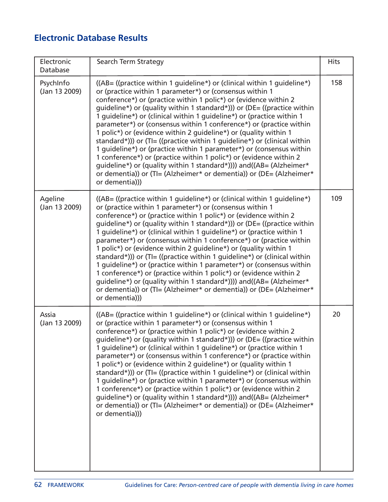# **Electronic Database Results**

| Electronic<br>Database     | Search Term Strategy                                                                                                                                                                                                                                                                                                                                                                                                                                                                                                                                                                                                                                                                                                                                                                                                                                                                             | <b>Hits</b> |
|----------------------------|--------------------------------------------------------------------------------------------------------------------------------------------------------------------------------------------------------------------------------------------------------------------------------------------------------------------------------------------------------------------------------------------------------------------------------------------------------------------------------------------------------------------------------------------------------------------------------------------------------------------------------------------------------------------------------------------------------------------------------------------------------------------------------------------------------------------------------------------------------------------------------------------------|-------------|
| PsychInfo<br>(Jan 13 2009) | ((AB= ((practice within 1 guideline*) or (clinical within 1 guideline*)<br>or (practice within 1 parameter*) or (consensus within 1<br>conference*) or (practice within 1 polic*) or (evidence within 2<br>guideline*) or (quality within 1 standard*))) or (DE= ((practice within<br>1 guideline*) or (clinical within 1 guideline*) or (practice within 1<br>parameter*) or (consensus within 1 conference*) or (practice within<br>1 polic*) or (evidence within 2 quideline*) or (quality within 1<br>standard*))) or (TI= ((practice within 1 guideline*) or (clinical within<br>1 guideline*) or (practice within 1 parameter*) or (consensus within<br>1 conference*) or (practice within 1 polic*) or (evidence within 2<br>guideline*) or (quality within 1 standard*)))) and((AB= (Alzheimer*<br>or dementia)) or (TI= (Alzheimer* or dementia)) or (DE= (Alzheimer*<br>or dementia))) | 158         |
| Ageline<br>(Jan 13 2009)   | ((AB= ((practice within 1 guideline*) or (clinical within 1 guideline*)<br>or (practice within 1 parameter*) or (consensus within 1<br>conference*) or (practice within 1 polic*) or (evidence within 2<br>guideline*) or (quality within 1 standard*))) or (DE= ((practice within<br>1 guideline*) or (clinical within 1 guideline*) or (practice within 1<br>parameter*) or (consensus within 1 conference*) or (practice within<br>1 polic*) or (evidence within 2 guideline*) or (quality within 1<br>standard*))) or (TI= ((practice within 1 guideline*) or (clinical within<br>1 quideline*) or (practice within 1 parameter*) or (consensus within<br>1 conference*) or (practice within 1 polic*) or (evidence within 2<br>guideline*) or (quality within 1 standard*)))) and((AB= (Alzheimer*<br>or dementia)) or (TI= (Alzheimer* or dementia)) or (DE= (Alzheimer*<br>or dementia))) | 109         |
| Assia<br>(Jan 13 2009)     | ((AB= ((practice within 1 guideline*) or (clinical within 1 guideline*)<br>or (practice within 1 parameter*) or (consensus within 1<br>conference*) or (practice within 1 polic*) or (evidence within 2<br>guideline*) or (quality within 1 standard*))) or (DE= ((practice within<br>1 quideline*) or (clinical within 1 guideline*) or (practice within 1<br>parameter*) or (consensus within 1 conference*) or (practice within<br>1 polic*) or (evidence within 2 quideline*) or (quality within 1<br>standard*))) or (TI= ((practice within 1 guideline*) or (clinical within<br>1 guideline*) or (practice within 1 parameter*) or (consensus within<br>1 conference*) or (practice within 1 polic*) or (evidence within 2<br>quideline*) or (quality within 1 standard*)))) and((AB= (Alzheimer*<br>or dementia)) or (TI= (Alzheimer* or dementia)) or (DE= (Alzheimer*<br>or dementia))) | 20          |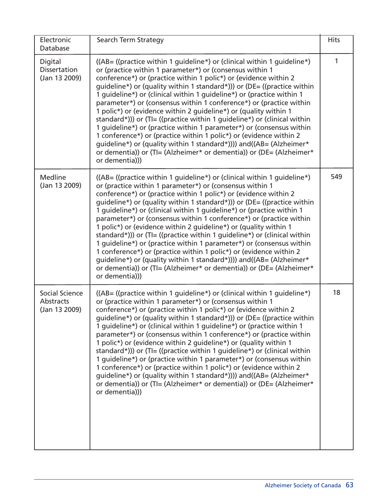| Electronic<br>Database                          | Search Term Strategy                                                                                                                                                                                                                                                                                                                                                                                                                                                                                                                                                                                                                                                                                                                                                                                                                                                                                | <b>Hits</b> |
|-------------------------------------------------|-----------------------------------------------------------------------------------------------------------------------------------------------------------------------------------------------------------------------------------------------------------------------------------------------------------------------------------------------------------------------------------------------------------------------------------------------------------------------------------------------------------------------------------------------------------------------------------------------------------------------------------------------------------------------------------------------------------------------------------------------------------------------------------------------------------------------------------------------------------------------------------------------------|-------------|
| Digital<br><b>Dissertation</b><br>(Jan 13 2009) | $((AB = ((practive within 1 guideline*) or (clinical within 1 guideline*)$<br>or (practice within 1 parameter*) or (consensus within 1<br>conference*) or (practice within 1 polic*) or (evidence within 2<br>guideline*) or (quality within 1 standard*))) or (DE= ((practice within<br>1 guideline*) or (clinical within 1 guideline*) or (practice within 1<br>parameter*) or (consensus within 1 conference*) or (practice within<br>1 polic*) or (evidence within 2 guideline*) or (quality within 1<br>standard*))) or (TI= ((practice within 1 guideline*) or (clinical within<br>1 guideline*) or (practice within 1 parameter*) or (consensus within<br>1 conference*) or (practice within 1 polic*) or (evidence within 2<br>guideline*) or (quality within 1 standard*)))) and((AB= (Alzheimer*<br>or dementia)) or (TI= (Alzheimer* or dementia)) or (DE= (Alzheimer*<br>or dementia))) | 1           |
| Medline<br>(Jan 13 2009)                        | $((AB = ((practive within 1 guideline*) or (clinical within 1 guideline*)$<br>or (practice within 1 parameter*) or (consensus within 1<br>conference*) or (practice within 1 polic*) or (evidence within 2<br>guideline*) or (quality within 1 standard*))) or (DE= ((practice within<br>1 guideline*) or (clinical within 1 guideline*) or (practice within 1<br>parameter*) or (consensus within 1 conference*) or (practice within<br>1 polic*) or (evidence within 2 guideline*) or (quality within 1<br>standard*))) or (TI= ((practice within 1 guideline*) or (clinical within<br>1 guideline*) or (practice within 1 parameter*) or (consensus within<br>1 conference*) or (practice within 1 polic*) or (evidence within 2<br>guideline*) or (quality within 1 standard*)))) and((AB= (Alzheimer*<br>or dementia)) or (TI= (Alzheimer* or dementia)) or (DE= (Alzheimer*<br>or dementia))) | 549         |
| Social Science<br>Abstracts<br>(Jan 13 2009)    | $((AB = ((practive within 1 guideline*) or (clinical within 1 guideline*)$<br>or (practice within 1 parameter*) or (consensus within 1<br>conference*) or (practice within 1 polic*) or (evidence within 2<br>guideline*) or (quality within 1 standard*))) or (DE= ((practice within<br>1 guideline*) or (clinical within 1 guideline*) or (practice within 1<br>parameter*) or (consensus within 1 conference*) or (practice within<br>1 polic*) or (evidence within 2 quideline*) or (quality within 1<br>standard*))) or (TI= ((practice within 1 guideline*) or (clinical within<br>1 guideline*) or (practice within 1 parameter*) or (consensus within<br>1 conference*) or (practice within 1 polic*) or (evidence within 2<br>guideline*) or (quality within 1 standard*)))) and((AB= (Alzheimer*<br>or dementia)) or (TI= (Alzheimer* or dementia)) or (DE= (Alzheimer*<br>or dementia))) | 18          |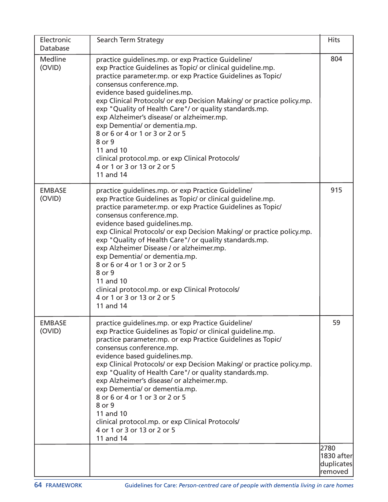| Electronic<br>Database  | Search Term Strategy                                                                                                                                                                                                                                                                                                                                                                                                                                                                                                                                                                                                      | <b>Hits</b>                                 |
|-------------------------|---------------------------------------------------------------------------------------------------------------------------------------------------------------------------------------------------------------------------------------------------------------------------------------------------------------------------------------------------------------------------------------------------------------------------------------------------------------------------------------------------------------------------------------------------------------------------------------------------------------------------|---------------------------------------------|
| Medline<br>(OVID)       | practice guidelines.mp. or exp Practice Guideline/<br>exp Practice Guidelines as Topic/ or clinical guideline.mp.<br>practice parameter.mp. or exp Practice Guidelines as Topic/<br>consensus conference.mp.<br>evidence based guidelines.mp.<br>exp Clinical Protocols/ or exp Decision Making/ or practice policy.mp.<br>exp "Quality of Health Care"/ or quality standards.mp.<br>exp Alzheimer's disease/ or alzheimer.mp.<br>exp Dementia/ or dementia.mp.<br>8 or 6 or 4 or 1 or 3 or 2 or 5<br>8 or 9<br>11 and 10<br>clinical protocol.mp. or exp Clinical Protocols/<br>4 or 1 or 3 or 13 or 2 or 5<br>11 and 14 | 804                                         |
| <b>EMBASE</b><br>(OVID) | practice guidelines.mp. or exp Practice Guideline/<br>exp Practice Guidelines as Topic/ or clinical guideline.mp.<br>practice parameter.mp. or exp Practice Guidelines as Topic/<br>consensus conference.mp.<br>evidence based guidelines.mp.<br>exp Clinical Protocols/ or exp Decision Making/ or practice policy.mp.<br>exp "Quality of Health Care"/ or quality standards.mp.<br>exp Alzheimer Disease / or alzheimer.mp.<br>exp Dementia/ or dementia.mp.<br>8 or 6 or 4 or 1 or 3 or 2 or 5<br>8 or 9<br>11 and 10<br>clinical protocol.mp. or exp Clinical Protocols/<br>4 or 1 or 3 or 13 or 2 or 5<br>11 and 14  | 915                                         |
| <b>EMBASE</b><br>(OVID) | practice guidelines.mp. or exp Practice Guideline/<br>exp Practice Guidelines as Topic/ or clinical guideline.mp.<br>practice parameter.mp. or exp Practice Guidelines as Topic/<br>consensus conference.mp.<br>evidence based guidelines.mp.<br>exp Clinical Protocols/ or exp Decision Making/ or practice policy.mp.<br>exp "Quality of Health Care"/ or quality standards.mp.<br>exp Alzheimer's disease/ or alzheimer.mp.<br>exp Dementia/ or dementia.mp.<br>8 or 6 or 4 or 1 or 3 or 2 or 5<br>8 or 9<br>11 and 10<br>clinical protocol.mp. or exp Clinical Protocols/<br>4 or 1 or 3 or 13 or 2 or 5<br>11 and 14 | 59                                          |
|                         |                                                                                                                                                                                                                                                                                                                                                                                                                                                                                                                                                                                                                           | 2780<br>1830 after<br>duplicates<br>removed |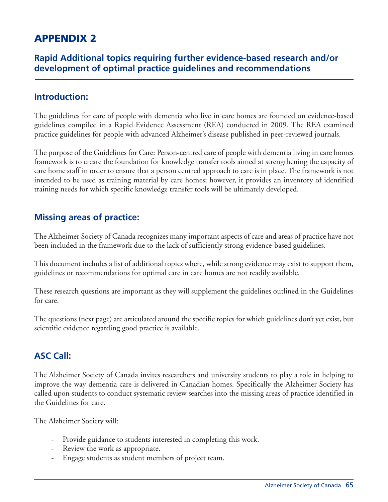# **APPENDIX 2**

### **Rapid Additional topics requiring further evidence-based research and/or development of optimal practice guidelines and recommendations**

### **Introduction:**

The guidelines for care of people with dementia who live in care homes are founded on evidence-based guidelines compiled in a Rapid Evidence Assessment (REA) conducted in 2009. The REA examined practice guidelines for people with advanced Alzheimer's disease published in peer-reviewed journals.

The purpose of the Guidelines for Care: Person-centred care of people with dementia living in care homes framework is to create the foundation for knowledge transfer tools aimed at strengthening the capacity of care home staff in order to ensure that a person centred approach to care is in place. The framework is not intended to be used as training material by care homes; however, it provides an inventory of identified training needs for which specific knowledge transfer tools will be ultimately developed.

### **Missing areas of practice:**

The Alzheimer Society of Canada recognizes many important aspects of care and areas of practice have not been included in the framework due to the lack of sufficiently strong evidence-based guidelines.

This document includes a list of additional topics where, while strong evidence may exist to support them, guidelines or recommendations for optimal care in care homes are not readily available.

These research questions are important as they will supplement the guidelines outlined in the Guidelines for care.

The questions (next page) are articulated around the specific topics for which guidelines don't yet exist, but scientific evidence regarding good practice is available.

# **ASC Call:**

The Alzheimer Society of Canada invites researchers and university students to play a role in helping to improve the way dementia care is delivered in Canadian homes. Specifically the Alzheimer Society has called upon students to conduct systematic review searches into the missing areas of practice identified in the Guidelines for care.

The Alzheimer Society will:

- Provide guidance to students interested in completing this work.
- Review the work as appropriate.
- Engage students as student members of project team.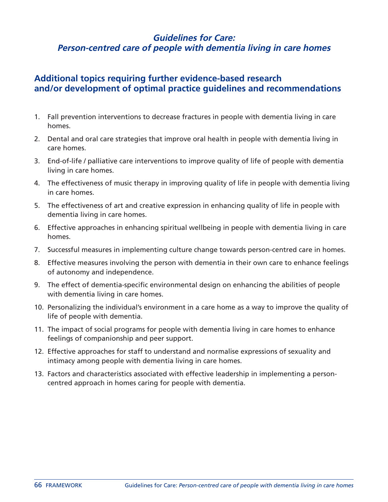### **Guidelines for Care: Person-centred care of people with dementia living in care homes**

### **Additional topics requiring further evidence-based research and/or development of optimal practice guidelines and recommendations**

- 1. Fall prevention interventions to decrease fractures in people with dementia living in care homes.
- 2. Dental and oral care strategies that improve oral health in people with dementia living in care homes.
- 3. End-of-life / palliative care interventions to improve quality of life of people with dementia living in care homes.
- 4. The effectiveness of music therapy in improving quality of life in people with dementia living in care homes.
- 5. The effectiveness of art and creative expression in enhancing quality of life in people with dementia living in care homes.
- 6. Effective approaches in enhancing spiritual wellbeing in people with dementia living in care homes.
- 7. Successful measures in implementing culture change towards person-centred care in homes.
- 8. Effective measures involving the person with dementia in their own care to enhance feelings of autonomy and independence.
- 9. The effect of dementia-specific environmental design on enhancing the abilities of people with dementia living in care homes.
- 10. Personalizing the individual's environment in a care home as a way to improve the quality of life of people with dementia.
- 11. The impact of social programs for people with dementia living in care homes to enhance feelings of companionship and peer support.
- 12. Effective approaches for staff to understand and normalise expressions of sexuality and intimacy among people with dementia living in care homes.
- 13. Factors and characteristics associated with effective leadership in implementing a personcentred approach in homes caring for people with dementia.